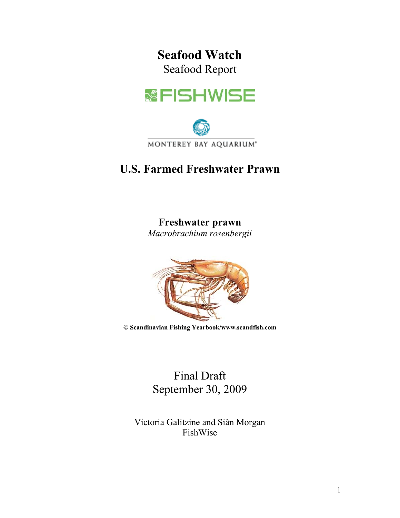# **Seafood Watch**  Seafood Report





# **U.S. Farmed Freshwater Prawn**

# **Freshwater prawn**

*Macrobrachium rosenbergii*



**© Scandinavian Fishing Yearbook/www.scandfish.com** 

Final Draft September 30, 2009

Victoria Galitzine and Siân Morgan FishWise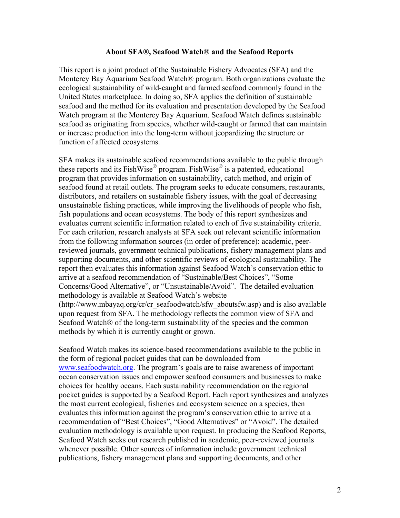#### **About SFA®, Seafood Watch® and the Seafood Reports**

This report is a joint product of the Sustainable Fishery Advocates (SFA) and the Monterey Bay Aquarium Seafood Watch® program. Both organizations evaluate the ecological sustainability of wild-caught and farmed seafood commonly found in the United States marketplace. In doing so, SFA applies the definition of sustainable seafood and the method for its evaluation and presentation developed by the Seafood Watch program at the Monterey Bay Aquarium. Seafood Watch defines sustainable seafood as originating from species, whether wild-caught or farmed that can maintain or increase production into the long-term without jeopardizing the structure or function of affected ecosystems.

SFA makes its sustainable seafood recommendations available to the public through these reports and its FishWise® program. FishWise® is a patented, educational program that provides information on sustainability, catch method, and origin of seafood found at retail outlets. The program seeks to educate consumers, restaurants, distributors, and retailers on sustainable fishery issues, with the goal of decreasing unsustainable fishing practices, while improving the livelihoods of people who fish, fish populations and ocean ecosystems. The body of this report synthesizes and evaluates current scientific information related to each of five sustainability criteria. For each criterion, research analysts at SFA seek out relevant scientific information from the following information sources (in order of preference): academic, peerreviewed journals, government technical publications, fishery management plans and supporting documents, and other scientific reviews of ecological sustainability. The report then evaluates this information against Seafood Watch's conservation ethic to arrive at a seafood recommendation of "Sustainable/Best Choices", "Some Concerns/Good Alternative", or "Unsustainable/Avoid". The detailed evaluation methodology is available at Seafood Watch's website (http://www.mbayaq.org/cr/cr\_seafoodwatch/sfw\_aboutsfw.asp) and is also available upon request from SFA. The methodology reflects the common view of SFA and Seafood Watch<sup>®</sup> of the long-term sustainability of the species and the common methods by which it is currently caught or grown.

Seafood Watch makes its science-based recommendations available to the public in the form of regional pocket guides that can be downloaded from www.seafoodwatch.org. The program's goals are to raise awareness of important ocean conservation issues and empower seafood consumers and businesses to make choices for healthy oceans. Each sustainability recommendation on the regional pocket guides is supported by a Seafood Report. Each report synthesizes and analyzes the most current ecological, fisheries and ecosystem science on a species, then evaluates this information against the program's conservation ethic to arrive at a recommendation of "Best Choices", "Good Alternatives" or "Avoid". The detailed evaluation methodology is available upon request. In producing the Seafood Reports, Seafood Watch seeks out research published in academic, peer-reviewed journals whenever possible. Other sources of information include government technical publications, fishery management plans and supporting documents, and other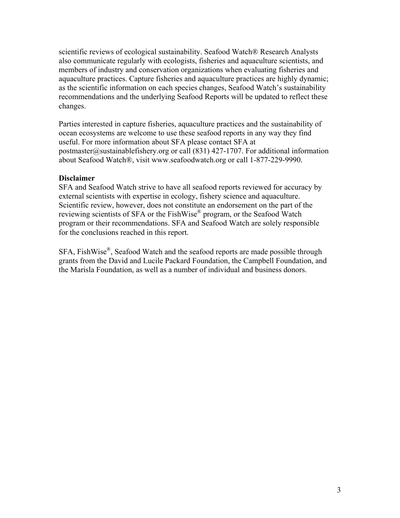scientific reviews of ecological sustainability. Seafood Watch® Research Analysts also communicate regularly with ecologists, fisheries and aquaculture scientists, and members of industry and conservation organizations when evaluating fisheries and aquaculture practices. Capture fisheries and aquaculture practices are highly dynamic; as the scientific information on each species changes, Seafood Watch's sustainability recommendations and the underlying Seafood Reports will be updated to reflect these changes.

Parties interested in capture fisheries, aquaculture practices and the sustainability of ocean ecosystems are welcome to use these seafood reports in any way they find useful. For more information about SFA please contact SFA at postmaster@sustainablefishery.org or call (831) 427-1707. For additional information about Seafood Watch®, visit www.seafoodwatch.org or call 1-877-229-9990.

# **Disclaimer**

SFA and Seafood Watch strive to have all seafood reports reviewed for accuracy by external scientists with expertise in ecology, fishery science and aquaculture. Scientific review, however, does not constitute an endorsement on the part of the reviewing scientists of SFA or the FishWise® program, or the Seafood Watch program or their recommendations. SFA and Seafood Watch are solely responsible for the conclusions reached in this report.

SFA, FishWise®, Seafood Watch and the seafood reports are made possible through grants from the David and Lucile Packard Foundation, the Campbell Foundation, and the Marisla Foundation, as well as a number of individual and business donors.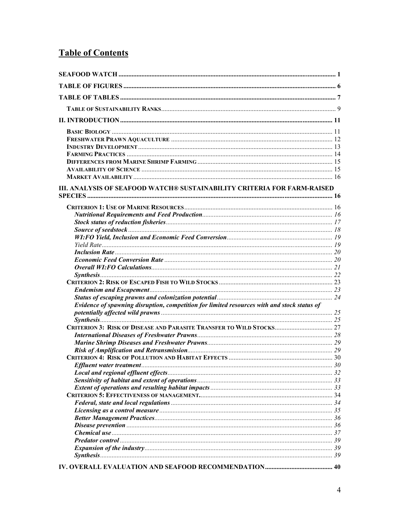# **Table of Contents**

| III. ANALYSIS OF SEAFOOD WATCH® SUSTAINABILITY CRITERIA FOR FARM-RAISED                     |  |
|---------------------------------------------------------------------------------------------|--|
|                                                                                             |  |
|                                                                                             |  |
|                                                                                             |  |
|                                                                                             |  |
|                                                                                             |  |
|                                                                                             |  |
|                                                                                             |  |
|                                                                                             |  |
|                                                                                             |  |
|                                                                                             |  |
|                                                                                             |  |
|                                                                                             |  |
|                                                                                             |  |
| Evidence of spawning disruption, competition for limited resources with and stock status of |  |
|                                                                                             |  |
|                                                                                             |  |
|                                                                                             |  |
|                                                                                             |  |
|                                                                                             |  |
|                                                                                             |  |
|                                                                                             |  |
|                                                                                             |  |
|                                                                                             |  |
|                                                                                             |  |
|                                                                                             |  |
|                                                                                             |  |
|                                                                                             |  |
|                                                                                             |  |
|                                                                                             |  |
|                                                                                             |  |
|                                                                                             |  |
|                                                                                             |  |
|                                                                                             |  |
|                                                                                             |  |
|                                                                                             |  |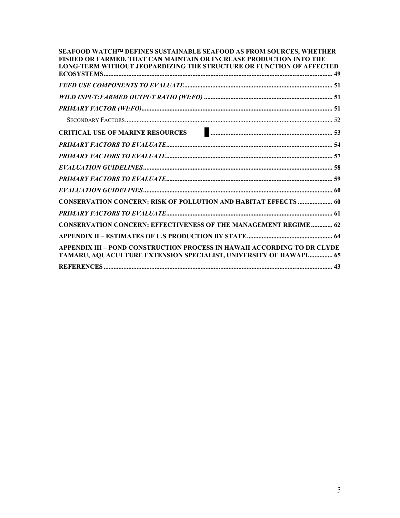| SEAFOOD WATCH™ DEFINES SUSTAINABLE SEAFOOD AS FROM SOURCES, WHETHER<br>FISHED OR FARMED, THAT CAN MAINTAIN OR INCREASE PRODUCTION INTO THE<br>LONG-TERM WITHOUT JEOPARDIZING THE STRUCTURE OR FUNCTION OF AFFECTED |  |
|--------------------------------------------------------------------------------------------------------------------------------------------------------------------------------------------------------------------|--|
|                                                                                                                                                                                                                    |  |
|                                                                                                                                                                                                                    |  |
|                                                                                                                                                                                                                    |  |
|                                                                                                                                                                                                                    |  |
| CRITICAL USE OF MARINE RESOURCES <b>CRITICAL USE OF MARINE RESOURCES</b>                                                                                                                                           |  |
|                                                                                                                                                                                                                    |  |
|                                                                                                                                                                                                                    |  |
|                                                                                                                                                                                                                    |  |
|                                                                                                                                                                                                                    |  |
|                                                                                                                                                                                                                    |  |
| CONSERVATION CONCERN: RISK OF POLLUTION AND HABITAT EFFECTS  60                                                                                                                                                    |  |
|                                                                                                                                                                                                                    |  |
| <b>CONSERVATION CONCERN: EFFECTIVENESS OF THE MANAGEMENT REGIME  62</b>                                                                                                                                            |  |
|                                                                                                                                                                                                                    |  |
| APPENDIX III - POND CONSTRUCTION PROCESS IN HAWAII ACCORDING TO DR CLYDE<br>TAMARU, AQUACULTURE EXTENSION SPECIALIST, UNIVERSITY OF HAWAI'I 65                                                                     |  |
|                                                                                                                                                                                                                    |  |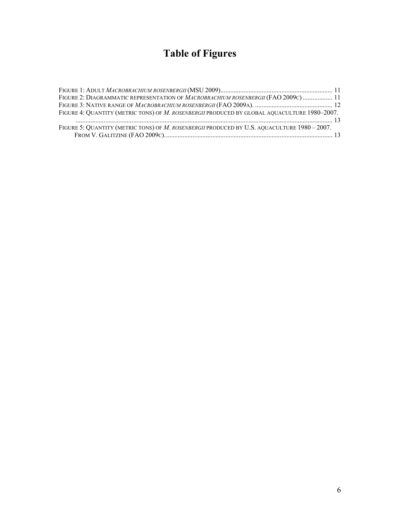# **Table of Figures**

| FIGURE 2: DIAGRAMMATIC REPRESENTATION OF MACROBRACHIUM ROSENBERGII (FAO 2009C)  11           |  |
|----------------------------------------------------------------------------------------------|--|
|                                                                                              |  |
| FIGURE 4: QUANTITY (METRIC TONS) OF M. ROSENBERGII PRODUCED BY GLOBAL AQUACULTURE 1980-2007. |  |
|                                                                                              |  |
| FIGURE 5: QUANTITY (METRIC TONS) OF M. ROSENBERGII PRODUCED BY U.S. AQUACULTURE 1980 - 2007. |  |
|                                                                                              |  |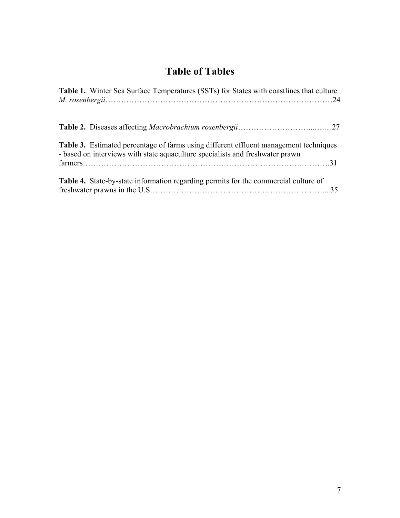# **Table of Tables**

| Table 1. Winter Sea Surface Temperatures (SSTs) for States with coastlines that culture                                                                                       |  |
|-------------------------------------------------------------------------------------------------------------------------------------------------------------------------------|--|
|                                                                                                                                                                               |  |
| <b>Table 3.</b> Estimated percentage of farms using different effluent management techniques<br>- based on interviews with state aquaculture specialists and freshwater prawn |  |
| Table 4. State-by-state information regarding permits for the commercial culture of                                                                                           |  |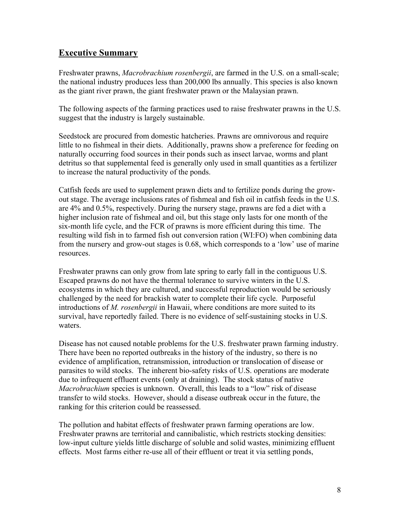# **Executive Summary**

Freshwater prawns, *Macrobrachium rosenbergii*, are farmed in the U.S. on a small-scale; the national industry produces less than 200,000 lbs annually. This species is also known as the giant river prawn, the giant freshwater prawn or the Malaysian prawn.

The following aspects of the farming practices used to raise freshwater prawns in the U.S. suggest that the industry is largely sustainable.

Seedstock are procured from domestic hatcheries. Prawns are omnivorous and require little to no fishmeal in their diets. Additionally, prawns show a preference for feeding on naturally occurring food sources in their ponds such as insect larvae, worms and plant detritus so that supplemental feed is generally only used in small quantities as a fertilizer to increase the natural productivity of the ponds.

Catfish feeds are used to supplement prawn diets and to fertilize ponds during the growout stage. The average inclusions rates of fishmeal and fish oil in catfish feeds in the U.S. are 4% and 0.5%, respectively. During the nursery stage, prawns are fed a diet with a higher inclusion rate of fishmeal and oil, but this stage only lasts for one month of the six-month life cycle, and the FCR of prawns is more efficient during this time. The resulting wild fish in to farmed fish out conversion ration (WI:FO) when combining data from the nursery and grow-out stages is 0.68, which corresponds to a 'low' use of marine resources.

Freshwater prawns can only grow from late spring to early fall in the contiguous U.S. Escaped prawns do not have the thermal tolerance to survive winters in the U.S. ecosystems in which they are cultured, and successful reproduction would be seriously challenged by the need for brackish water to complete their life cycle. Purposeful introductions of *M. rosenbergii* in Hawaii, where conditions are more suited to its survival, have reportedly failed. There is no evidence of self-sustaining stocks in U.S. waters.

Disease has not caused notable problems for the U.S. freshwater prawn farming industry. There have been no reported outbreaks in the history of the industry, so there is no evidence of amplification, retransmission, introduction or translocation of disease or parasites to wild stocks. The inherent bio-safety risks of U.S. operations are moderate due to infrequent effluent events (only at draining). The stock status of native *Macrobrachium* species is unknown. Overall, this leads to a "low" risk of disease transfer to wild stocks. However, should a disease outbreak occur in the future, the ranking for this criterion could be reassessed.

The pollution and habitat effects of freshwater prawn farming operations are low. Freshwater prawns are territorial and cannibalistic, which restricts stocking densities: low-input culture yields little discharge of soluble and solid wastes, minimizing effluent effects. Most farms either re-use all of their effluent or treat it via settling ponds,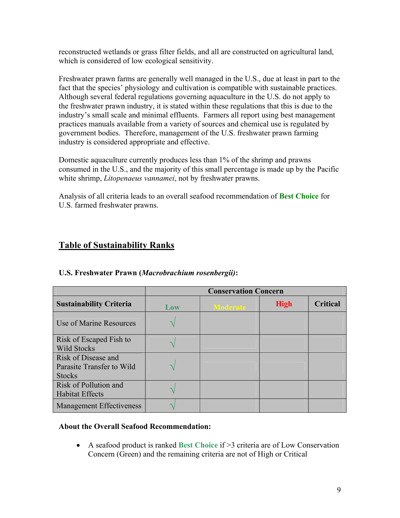reconstructed wetlands or grass filter fields, and all are constructed on agricultural land, which is considered of low ecological sensitivity.

Freshwater prawn farms are generally well managed in the U.S., due at least in part to the fact that the species' physiology and cultivation is compatible with sustainable practices. Although several federal regulations governing aquaculture in the U.S. do not apply to the freshwater prawn industry, it is stated within these regulations that this is due to the industry's small scale and minimal effluents. Farmers all report using best management practices manuals available from a variety of sources and chemical use is regulated by government bodies. Therefore, management of the U.S. freshwater prawn farming industry is considered appropriate and effective.

Domestic aquaculture currently produces less than 1% of the shrimp and prawns consumed in the U.S., and the majority of this small percentage is made up by the Pacific white shrimp, *Litopenaeus vannamei*, not by freshwater prawns.

Analysis of all criteria leads to an overall seafood recommendation of **Best Choice** for U.S. farmed freshwater prawns.

# **Table of Sustainability Ranks**

|                                                                   |     | <b>Conservation Concern</b> |             |                 |  |  |
|-------------------------------------------------------------------|-----|-----------------------------|-------------|-----------------|--|--|
| <b>Sustainability Criteria</b>                                    | Low | <b>Moderate</b>             | <b>High</b> | <b>Critical</b> |  |  |
| Use of Marine Resources                                           |     |                             |             |                 |  |  |
| Risk of Escaped Fish to<br><b>Wild Stocks</b>                     |     |                             |             |                 |  |  |
| Risk of Disease and<br>Parasite Transfer to Wild<br><b>Stocks</b> |     |                             |             |                 |  |  |
| Risk of Pollution and<br><b>Habitat Effects</b>                   |     |                             |             |                 |  |  |
| <b>Management Effectiveness</b>                                   |     |                             |             |                 |  |  |

# **U.S. Freshwater Prawn (***Macrobrachium rosenbergii)***:**

#### **About the Overall Seafood Recommendation:**

" A seafood product is ranked **Best Choice** if >3 criteria are of Low Conservation Concern (Green) and the remaining criteria are not of High or Critical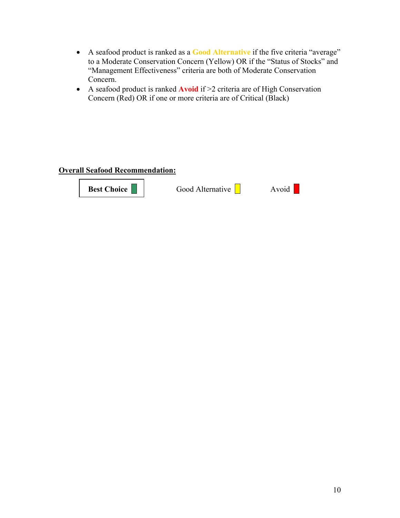- " A seafood product is ranked as a **Good Alternative** if the five criteria "average" to a Moderate Conservation Concern (Yellow) OR if the "Status of Stocks" and "Management Effectiveness" criteria are both of Moderate Conservation Concern.
- A seafood product is ranked **Avoid** if >2 criteria are of High Conservation Concern (Red) OR if one or more criteria are of Critical (Black)

# **Overall Seafood Recommendation:**

**Best Choice Good Alternative Avoid**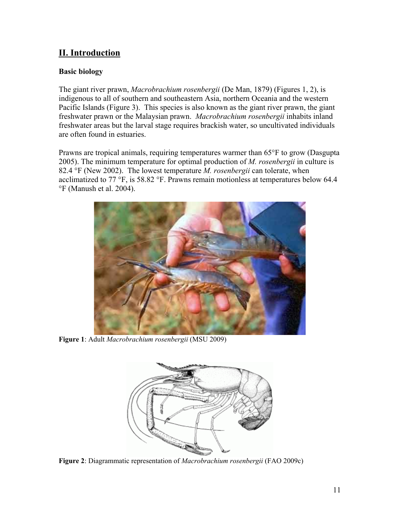# **II. Introduction**

# **Basic biology**

The giant river prawn, *Macrobrachium rosenbergii* (De Man, 1879) (Figures 1, 2), is indigenous to all of southern and southeastern Asia, northern Oceania and the western Pacific Islands (Figure 3). This species is also known as the giant river prawn, the giant freshwater prawn or the Malaysian prawn. *Macrobrachium rosenbergii* inhabits inland freshwater areas but the larval stage requires brackish water, so uncultivated individuals are often found in estuaries.

Prawns are tropical animals, requiring temperatures warmer than 65°F to grow (Dasgupta 2005). The minimum temperature for optimal production of *M. rosenbergii* in culture is 82.4 °F (New 2002). The lowest temperature *M. rosenbergii* can tolerate, when acclimatized to 77 °F, is 58.82 °F. Prawns remain motionless at temperatures below 64.4 °F (Manush et al. 2004).



**Figure 1**: Adult *Macrobrachium rosenbergii* (MSU 2009)



**Figure 2**: Diagrammatic representation of *Macrobrachium rosenbergii* (FAO 2009c)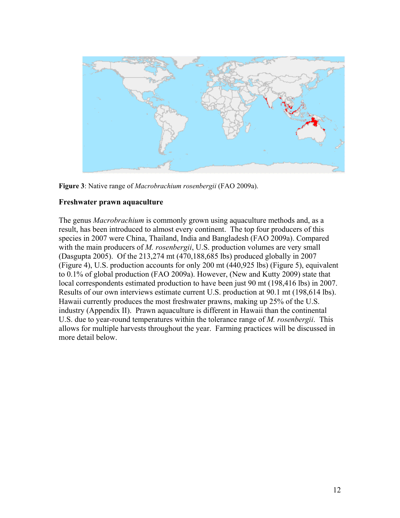

**Figure 3**: Native range of *Macrobrachium rosenbergii* (FAO 2009a).

# **Freshwater prawn aquaculture**

The genus *Macrobrachium* is commonly grown using aquaculture methods and, as a result, has been introduced to almost every continent. The top four producers of this species in 2007 were China, Thailand, India and Bangladesh (FAO 2009a). Compared with the main producers of *M. rosenbergii*, U.S. production volumes are very small (Dasgupta 2005). Of the 213,274 mt (470,188,685 lbs) produced globally in 2007 (Figure 4), U.S. production accounts for only 200 mt (440,925 lbs) (Figure 5), equivalent to 0.1% of global production (FAO 2009a). However, (New and Kutty 2009) state that local correspondents estimated production to have been just 90 mt (198,416 lbs) in 2007. Results of our own interviews estimate current U.S. production at 90.1 mt (198,614 lbs). Hawaii currently produces the most freshwater prawns, making up 25% of the U.S. industry (Appendix II). Prawn aquaculture is different in Hawaii than the continental U.S. due to year-round temperatures within the tolerance range of *M. rosenbergii*. This allows for multiple harvests throughout the year. Farming practices will be discussed in more detail below.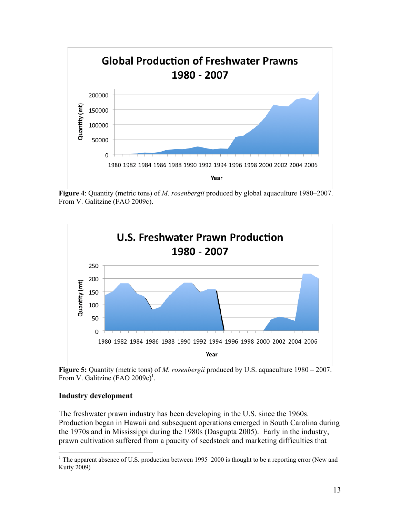

**Figure 4**: Quantity (metric tons) of *M. rosenbergii* produced by global aquaculture 1980–2007. From V. Galitzine (FAO 2009c).



**Figure 5:** Quantity (metric tons) of *M. rosenbergii* produced by U.S. aquaculture 1980 – 2007. From V. Galitzine  $(FAO\ 2009c)^{1}$ .

#### **Industry development**

1

The freshwater prawn industry has been developing in the U.S. since the 1960s. Production began in Hawaii and subsequent operations emerged in South Carolina during the 1970s and in Mississippi during the 1980s (Dasgupta 2005). Early in the industry, prawn cultivation suffered from a paucity of seedstock and marketing difficulties that

<sup>&</sup>lt;sup>1</sup> The apparent absence of U.S. production between 1995–2000 is thought to be a reporting error (New and Kutty 2009)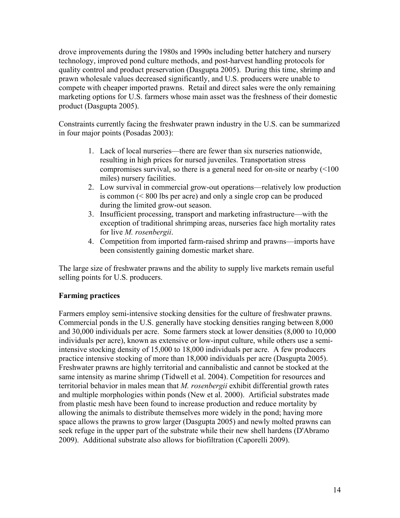drove improvements during the 1980s and 1990s including better hatchery and nursery technology, improved pond culture methods, and post-harvest handling protocols for quality control and product preservation (Dasgupta 2005). During this time, shrimp and prawn wholesale values decreased significantly, and U.S. producers were unable to compete with cheaper imported prawns. Retail and direct sales were the only remaining marketing options for U.S. farmers whose main asset was the freshness of their domestic product (Dasgupta 2005).

Constraints currently facing the freshwater prawn industry in the U.S. can be summarized in four major points (Posadas 2003):

- 1. Lack of local nurseries—there are fewer than six nurseries nationwide, resulting in high prices for nursed juveniles. Transportation stress compromises survival, so there is a general need for on-site or nearby (<100 miles) nursery facilities.
- 2. Low survival in commercial grow-out operations—relatively low production is common (< 800 lbs per acre) and only a single crop can be produced during the limited grow-out season.
- 3. Insufficient processing, transport and marketing infrastructure—with the exception of traditional shrimping areas, nurseries face high mortality rates for live *M. rosenbergii*.
- 4. Competition from imported farm-raised shrimp and prawns—imports have been consistently gaining domestic market share.

The large size of freshwater prawns and the ability to supply live markets remain useful selling points for U.S. producers.

# **Farming practices**

Farmers employ semi-intensive stocking densities for the culture of freshwater prawns. Commercial ponds in the U.S. generally have stocking densities ranging between 8,000 and 30,000 individuals per acre. Some farmers stock at lower densities (8,000 to 10,000 individuals per acre), known as extensive or low-input culture, while others use a semiintensive stocking density of 15,000 to 18,000 individuals per acre. A few producers practice intensive stocking of more than 18,000 individuals per acre (Dasgupta 2005). Freshwater prawns are highly territorial and cannibalistic and cannot be stocked at the same intensity as marine shrimp (Tidwell et al. 2004). Competition for resources and territorial behavior in males mean that *M. rosenbergii* exhibit differential growth rates and multiple morphologies within ponds (New et al. 2000). Artificial substrates made from plastic mesh have been found to increase production and reduce mortality by allowing the animals to distribute themselves more widely in the pond; having more space allows the prawns to grow larger (Dasgupta 2005) and newly molted prawns can seek refuge in the upper part of the substrate while their new shell hardens (D'Abramo 2009). Additional substrate also allows for biofiltration (Caporelli 2009).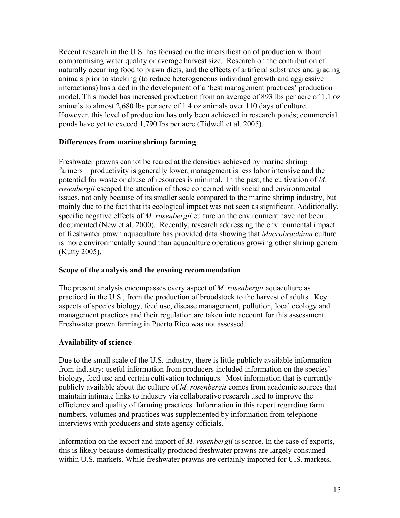Recent research in the U.S. has focused on the intensification of production without compromising water quality or average harvest size. Research on the contribution of naturally occurring food to prawn diets, and the effects of artificial substrates and grading animals prior to stocking (to reduce heterogeneous individual growth and aggressive interactions) has aided in the development of a 'best management practices' production model. This model has increased production from an average of 893 lbs per acre of 1.1 oz animals to almost 2,680 lbs per acre of 1.4 oz animals over 110 days of culture. However, this level of production has only been achieved in research ponds; commercial ponds have yet to exceed 1,790 lbs per acre (Tidwell et al. 2005).

# **Differences from marine shrimp farming**

Freshwater prawns cannot be reared at the densities achieved by marine shrimp farmers—productivity is generally lower, management is less labor intensive and the potential for waste or abuse of resources is minimal. In the past, the cultivation of *M. rosenbergii* escaped the attention of those concerned with social and environmental issues, not only because of its smaller scale compared to the marine shrimp industry, but mainly due to the fact that its ecological impact was not seen as significant. Additionally, specific negative effects of *M. rosenbergii* culture on the environment have not been documented (New et al. 2000). Recently, research addressing the environmental impact of freshwater prawn aquaculture has provided data showing that *Macrobrachium* culture is more environmentally sound than aquaculture operations growing other shrimp genera (Kutty 2005).

# **Scope of the analysis and the ensuing recommendation**

The present analysis encompasses every aspect of *M. rosenbergii* aquaculture as practiced in the U.S., from the production of broodstock to the harvest of adults. Key aspects of species biology, feed use, disease management, pollution, local ecology and management practices and their regulation are taken into account for this assessment. Freshwater prawn farming in Puerto Rico was not assessed.

# **Availability of science**

Due to the small scale of the U.S. industry, there is little publicly available information from industry: useful information from producers included information on the species' biology, feed use and certain cultivation techniques. Most information that is currently publicly available about the culture of *M. rosenbergii* comes from academic sources that maintain intimate links to industry via collaborative research used to improve the efficiency and quality of farming practices. Information in this report regarding farm numbers, volumes and practices was supplemented by information from telephone interviews with producers and state agency officials.

Information on the export and import of *M. rosenbergii* is scarce. In the case of exports, this is likely because domestically produced freshwater prawns are largely consumed within U.S. markets. While freshwater prawns are certainly imported for U.S. markets,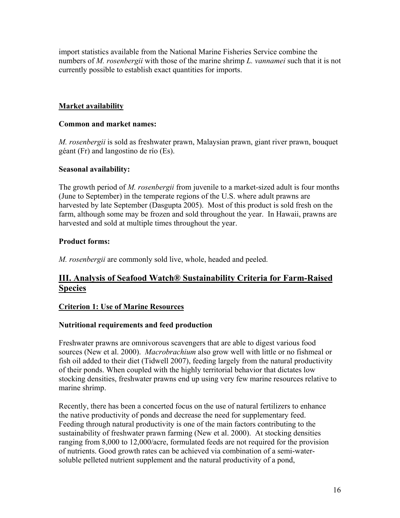import statistics available from the National Marine Fisheries Service combine the numbers of *M. rosenbergii* with those of the marine shrimp *L. vannamei* such that it is not currently possible to establish exact quantities for imports.

# **Market availability**

# **Common and market names:**

*M. rosenbergii* is sold as freshwater prawn, Malaysian prawn, giant river prawn, bouquet géant (Fr) and langostino de río (Es).

# **Seasonal availability:**

The growth period of *M. rosenbergii* from juvenile to a market-sized adult is four months (June to September) in the temperate regions of the U.S. where adult prawns are harvested by late September (Dasgupta 2005). Most of this product is sold fresh on the farm, although some may be frozen and sold throughout the year. In Hawaii, prawns are harvested and sold at multiple times throughout the year.

# **Product forms:**

*M. rosenbergii* are commonly sold live, whole, headed and peeled.

# **III. Analysis of Seafood Watch® Sustainability Criteria for Farm-Raised Species**

# **Criterion 1: Use of Marine Resources**

# **Nutritional requirements and feed production**

Freshwater prawns are omnivorous scavengers that are able to digest various food sources (New et al. 2000). *Macrobrachium* also grow well with little or no fishmeal or fish oil added to their diet (Tidwell 2007), feeding largely from the natural productivity of their ponds. When coupled with the highly territorial behavior that dictates low stocking densities, freshwater prawns end up using very few marine resources relative to marine shrimp.

Recently, there has been a concerted focus on the use of natural fertilizers to enhance the native productivity of ponds and decrease the need for supplementary feed. Feeding through natural productivity is one of the main factors contributing to the sustainability of freshwater prawn farming (New et al. 2000). At stocking densities ranging from 8,000 to 12,000/acre, formulated feeds are not required for the provision of nutrients. Good growth rates can be achieved via combination of a semi-watersoluble pelleted nutrient supplement and the natural productivity of a pond,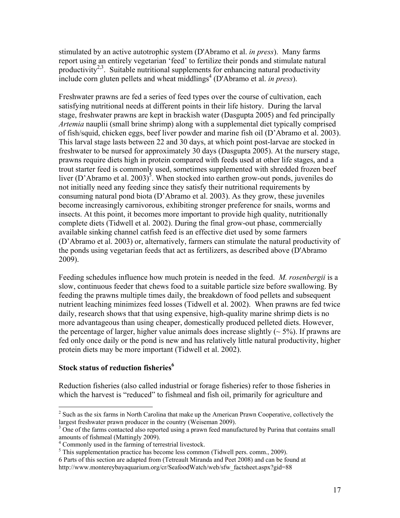stimulated by an active autotrophic system (D'Abramo et al. *in press*). Many farms report using an entirely vegetarian 'feed' to fertilize their ponds and stimulate natural productivity<sup>2,3</sup>. Suitable nutritional supplements for enhancing natural productivity  $\frac{1}{2}$  include corn gluten pellets and wheat middlings<sup>4</sup> (D'Abramo et al. *in press*).

Freshwater prawns are fed a series of feed types over the course of cultivation, each satisfying nutritional needs at different points in their life history. During the larval stage, freshwater prawns are kept in brackish water (Dasgupta 2005) and fed principally *Artemia* nauplii (small brine shrimp) along with a supplemental diet typically comprised of fish/squid, chicken eggs, beef liver powder and marine fish oil (D'Abramo et al. 2003). This larval stage lasts between 22 and 30 days, at which point post-larvae are stocked in freshwater to be nursed for approximately 30 days (Dasgupta 2005). At the nursery stage, prawns require diets high in protein compared with feeds used at other life stages, and a trout starter feed is commonly used, sometimes supplemented with shredded frozen beef liver (D'Abramo et al. 2003)<sup>5</sup>. When stocked into earthen grow-out ponds, juveniles do not initially need any feeding since they satisfy their nutritional requirements by consuming natural pond biota (D'Abramo et al. 2003). As they grow, these juveniles become increasingly carnivorous, exhibiting stronger preference for snails, worms and insects. At this point, it becomes more important to provide high quality, nutritionally complete diets (Tidwell et al. 2002). During the final grow-out phase, commercially available sinking channel catfish feed is an effective diet used by some farmers (D'Abramo et al. 2003) or, alternatively, farmers can stimulate the natural productivity of the ponds using vegetarian feeds that act as fertilizers, as described above (D'Abramo 2009).

Feeding schedules influence how much protein is needed in the feed. *M. rosenbergii* is a slow, continuous feeder that chews food to a suitable particle size before swallowing. By feeding the prawns multiple times daily, the breakdown of food pellets and subsequent nutrient leaching minimizes feed losses (Tidwell et al. 2002). When prawns are fed twice daily, research shows that that using expensive, high-quality marine shrimp diets is no more advantageous than using cheaper, domestically produced pelleted diets. However, the percentage of larger, higher value animals does increase slightly  $({\sim} 5\%)$ . If prawns are fed only once daily or the pond is new and has relatively little natural productivity, higher protein diets may be more important (Tidwell et al. 2002).

# **Stock status of reduction fisheries<sup>6</sup>**

 $\overline{a}$ 

Reduction fisheries (also called industrial or forage fisheries) refer to those fisheries in which the harvest is "reduced" to fishmeal and fish oil, primarily for agriculture and

 $2^{2}$  Such as the six farms in North Carolina that make up the American Prawn Cooperative, collectively the largest freshwater prawn producer in the country (Weiseman 2009).

<sup>&</sup>lt;sup>3</sup> One of the farms contacted also reported using a prawn feed manufactured by Purina that contains small amounts of fishmeal (Mattingly 2009).

<sup>4</sup> Commonly used in the farming of terrestrial livestock.

<sup>&</sup>lt;sup>5</sup> This supplementation practice has become less common (Tidwell pers. comm., 2009).

<sup>6</sup> Parts of this section are adapted from (Tetreault Miranda and Peet 2008) and can be found at http://www.montereybayaquarium.org/cr/SeafoodWatch/web/sfw\_factsheet.aspx?gid=88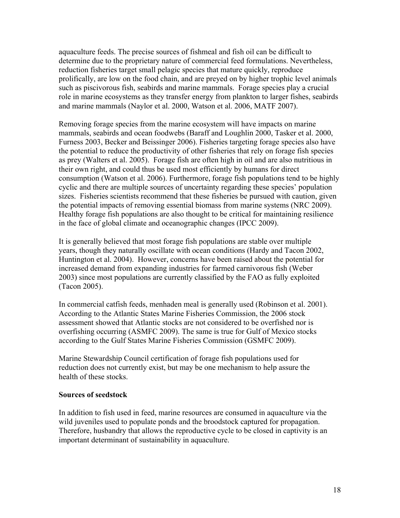aquaculture feeds. The precise sources of fishmeal and fish oil can be difficult to determine due to the proprietary nature of commercial feed formulations. Nevertheless, reduction fisheries target small pelagic species that mature quickly, reproduce prolifically, are low on the food chain, and are preyed on by higher trophic level animals such as piscivorous fish, seabirds and marine mammals. Forage species play a crucial role in marine ecosystems as they transfer energy from plankton to larger fishes, seabirds and marine mammals (Naylor et al. 2000, Watson et al. 2006, MATF 2007).

Removing forage species from the marine ecosystem will have impacts on marine mammals, seabirds and ocean foodwebs (Baraff and Loughlin 2000, Tasker et al. 2000, Furness 2003, Becker and Beissinger 2006). Fisheries targeting forage species also have the potential to reduce the productivity of other fisheries that rely on forage fish species as prey (Walters et al. 2005). Forage fish are often high in oil and are also nutritious in their own right, and could thus be used most efficiently by humans for direct consumption (Watson et al. 2006). Furthermore, forage fish populations tend to be highly cyclic and there are multiple sources of uncertainty regarding these species' population sizes. Fisheries scientists recommend that these fisheries be pursued with caution, given the potential impacts of removing essential biomass from marine systems (NRC 2009). Healthy forage fish populations are also thought to be critical for maintaining resilience in the face of global climate and oceanographic changes (IPCC 2009).

It is generally believed that most forage fish populations are stable over multiple years, though they naturally oscillate with ocean conditions (Hardy and Tacon 2002, Huntington et al. 2004). However, concerns have been raised about the potential for increased demand from expanding industries for farmed carnivorous fish (Weber 2003) since most populations are currently classified by the FAO as fully exploited (Tacon 2005).

In commercial catfish feeds, menhaden meal is generally used (Robinson et al. 2001). According to the Atlantic States Marine Fisheries Commission, the 2006 stock assessment showed that Atlantic stocks are not considered to be overfished nor is overfishing occurring (ASMFC 2009). The same is true for Gulf of Mexico stocks according to the Gulf States Marine Fisheries Commission (GSMFC 2009).

Marine Stewardship Council certification of forage fish populations used for reduction does not currently exist, but may be one mechanism to help assure the health of these stocks.

#### **Sources of seedstock**

In addition to fish used in feed, marine resources are consumed in aquaculture via the wild juveniles used to populate ponds and the broodstock captured for propagation. Therefore, husbandry that allows the reproductive cycle to be closed in captivity is an important determinant of sustainability in aquaculture.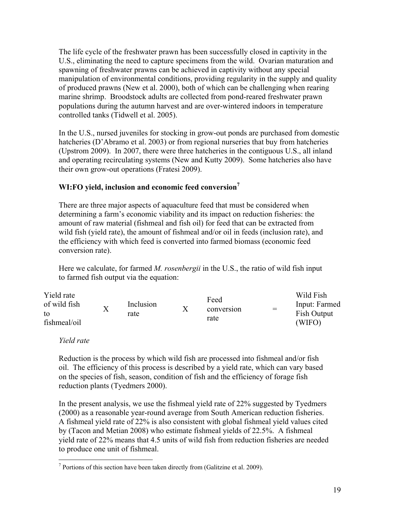The life cycle of the freshwater prawn has been successfully closed in captivity in the U.S., eliminating the need to capture specimens from the wild. Ovarian maturation and spawning of freshwater prawns can be achieved in captivity without any special manipulation of environmental conditions, providing regularity in the supply and quality of produced prawns (New et al. 2000), both of which can be challenging when rearing marine shrimp. Broodstock adults are collected from pond-reared freshwater prawn populations during the autumn harvest and are over-wintered indoors in temperature controlled tanks (Tidwell et al. 2005).

In the U.S., nursed juveniles for stocking in grow-out ponds are purchased from domestic hatcheries (D'Abramo et al. 2003) or from regional nurseries that buy from hatcheries (Upstrom 2009). In 2007, there were three hatcheries in the contiguous U.S., all inland and operating recirculating systems (New and Kutty 2009). Some hatcheries also have their own grow-out operations (Fratesi 2009).

# **WI:FO yield, inclusion and economic feed conversion<sup>7</sup>**

There are three major aspects of aquaculture feed that must be considered when determining a farm's economic viability and its impact on reduction fisheries: the amount of raw material (fishmeal and fish oil) for feed that can be extracted from wild fish (yield rate), the amount of fishmeal and/or oil in feeds (inclusion rate), and the efficiency with which feed is converted into farmed biomass (economic feed conversion rate).

Here we calculate, for farmed *M. rosenbergii* in the U.S., the ratio of wild fish input to farmed fish output via the equation:

| Yield rate                         |                   |                   |                            |     | Wild Fish                              |
|------------------------------------|-------------------|-------------------|----------------------------|-----|----------------------------------------|
| of wild fish<br>to<br>fishmeal/oil | $\rm\overline{X}$ | Inclusion<br>rate | Feed<br>conversion<br>rate | $=$ | Input: Farmed<br>Fish Output<br>(WIFO) |

# *Yield rate*

Reduction is the process by which wild fish are processed into fishmeal and/or fish oil. The efficiency of this process is described by a yield rate, which can vary based on the species of fish, season, condition of fish and the efficiency of forage fish reduction plants (Tyedmers 2000).

In the present analysis, we use the fishmeal yield rate of 22% suggested by Tyedmers (2000) as a reasonable year-round average from South American reduction fisheries. A fishmeal yield rate of 22% is also consistent with global fishmeal yield values cited by (Tacon and Metian 2008) who estimate fishmeal yields of 22.5%. A fishmeal yield rate of 22% means that 4.5 units of wild fish from reduction fisheries are needed to produce one unit of fishmeal.

<sup>&</sup>lt;u>.</u>  $7$  Portions of this section have been taken directly from (Galitzine et al. 2009).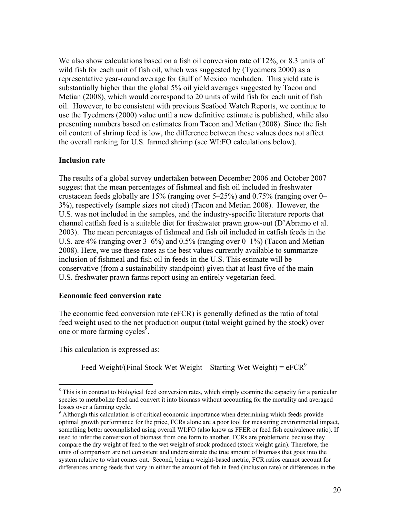We also show calculations based on a fish oil conversion rate of 12%, or 8.3 units of wild fish for each unit of fish oil, which was suggested by (Tyedmers 2000) as a representative year-round average for Gulf of Mexico menhaden. This yield rate is substantially higher than the global 5% oil yield averages suggested by Tacon and Metian (2008), which would correspond to 20 units of wild fish for each unit of fish oil. However, to be consistent with previous Seafood Watch Reports, we continue to use the Tyedmers (2000) value until a new definitive estimate is published, while also presenting numbers based on estimates from Tacon and Metian (2008). Since the fish oil content of shrimp feed is low, the difference between these values does not affect the overall ranking for U.S. farmed shrimp (see WI:FO calculations below).

#### **Inclusion rate**

The results of a global survey undertaken between December 2006 and October 2007 suggest that the mean percentages of fishmeal and fish oil included in freshwater crustacean feeds globally are 15% (ranging over 5–25%) and 0.75% (ranging over 0– 3%), respectively (sample sizes not cited) (Tacon and Metian 2008). However, the U.S. was not included in the samples, and the industry-specific literature reports that channel catfish feed is a suitable diet for freshwater prawn grow-out (D'Abramo et al. 2003). The mean percentages of fishmeal and fish oil included in catfish feeds in the U.S. are 4% (ranging over 3–6%) and 0.5% (ranging over 0–1%) (Tacon and Metian 2008). Here, we use these rates as the best values currently available to summarize inclusion of fishmeal and fish oil in feeds in the U.S. This estimate will be conservative (from a sustainability standpoint) given that at least five of the main U.S. freshwater prawn farms report using an entirely vegetarian feed.

#### **Economic feed conversion rate**

The economic feed conversion rate (eFCR) is generally defined as the ratio of total feed weight used to the net production output (total weight gained by the stock) over one or more farming cycles $\delta$ .

This calculation is expressed as:

 $\overline{a}$ 

Feed Weight/(Final Stock Wet Weight – Starting Wet Weight) =  $eFCR<sup>9</sup>$ 

<sup>&</sup>lt;sup>8</sup> This is in contrast to biological feed conversion rates, which simply examine the capacity for a particular species to metabolize feed and convert it into biomass without accounting for the mortality and averaged losses over a farming cycle.

<sup>&</sup>lt;sup>9</sup> Although this calculation is of critical economic importance when determining which feeds provide optimal growth performance for the price, FCRs alone are a poor tool for measuring environmental impact, something better accomplished using overall WI:FO (also know as FFER or feed fish equivalence ratio). If used to infer the conversion of biomass from one form to another, FCRs are problematic because they compare the dry weight of feed to the wet weight of stock produced (stock weight gain). Therefore, the units of comparison are not consistent and underestimate the true amount of biomass that goes into the system relative to what comes out. Second, being a weight-based metric, FCR ratios cannot account for differences among feeds that vary in either the amount of fish in feed (inclusion rate) or differences in the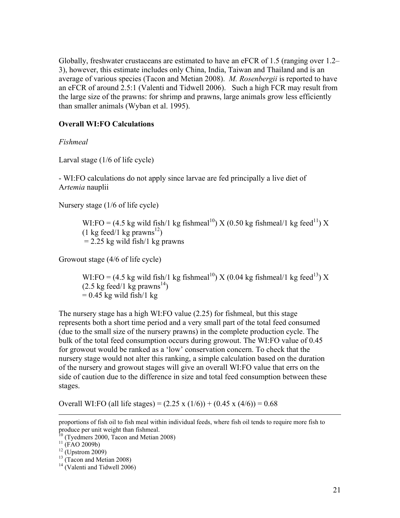Globally, freshwater crustaceans are estimated to have an eFCR of 1.5 (ranging over 1.2– 3), however, this estimate includes only China, India, Taiwan and Thailand and is an average of various species (Tacon and Metian 2008). *M. Rosenbergii* is reported to have an eFCR of around 2.5:1 (Valenti and Tidwell 2006). Such a high FCR may result from the large size of the prawns: for shrimp and prawns, large animals grow less efficiently than smaller animals (Wyban et al. 1995).

#### **Overall WI:FO Calculations**

*Fishmeal* 

Larval stage (1/6 of life cycle)

- WI:FO calculations do not apply since larvae are fed principally a live diet of A*rtemia* nauplii

Nursery stage (1/6 of life cycle)

WI:FO = (4.5 kg wild fish/1 kg fishmeal<sup>10</sup>) X (0.50 kg fishmeal/1 kg feed<sup>11</sup>) X  $(1 \text{ kg feed}/1 \text{ kg} \text{ prawns}^{12})$  $= 2.25$  kg wild fish/1 kg prawns

Growout stage (4/6 of life cycle)

WI:FO = (4.5 kg wild fish/1 kg fishmeal<sup>10</sup>) X (0.04 kg fishmeal/1 kg feed<sup>13</sup>) X  $(2.5 \text{ kg feed}/1 \text{ kg} \text{ prawns}^{14})$  $= 0.45$  kg wild fish/1 kg

The nursery stage has a high WI:FO value (2.25) for fishmeal, but this stage represents both a short time period and a very small part of the total feed consumed (due to the small size of the nursery prawns) in the complete production cycle. The bulk of the total feed consumption occurs during growout. The WI:FO value of 0.45 for growout would be ranked as a 'low' conservation concern. To check that the nursery stage would not alter this ranking, a simple calculation based on the duration of the nursery and growout stages will give an overall WI:FO value that errs on the side of caution due to the difference in size and total feed consumption between these stages.

Overall WI:FO (all life stages) =  $(2.25 \times (1/6)) + (0.45 \times (4/6)) = 0.68$ 

proportions of fish oil to fish meal within individual feeds, where fish oil tends to require more fish to produce per unit weight than fishmeal.

 $10$  (Tyedmers 2000, Tacon and Metian 2008)

 $^{11}$  (FAO 2009b)

 $12$  (Upstrom 2009)

 $13$  (Tacon and Metian 2008)

 $14$  (Valenti and Tidwell 2006)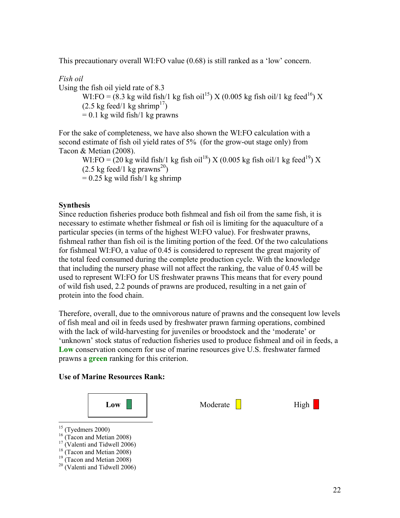This precautionary overall WI:FO value (0.68) is still ranked as a 'low' concern.

*Fish oil*  Using the fish oil yield rate of 8.3 WI:FO =  $(8.3 \text{ kg} \text{ wild fish/1 kg fish oil}^{15})$  X (0.005 kg fish oil/1 kg feed<sup>16</sup>) X  $(2.5 \text{ kg feed}/1 \text{ kg shrink}^{17})$  $= 0.1$  kg wild fish/1 kg prawns

For the sake of completeness, we have also shown the WI:FO calculation with a second estimate of fish oil yield rates of 5% (for the grow-out stage only) from Tacon & Metian (2008).

WI:FO =  $(20 \text{ kg} \text{ wild fish/1 kg fish oil}^{18})$  X  $(0.005 \text{ kg fish oil/1 kg feed}^{19})$  X  $(2.5 \text{ kg feed}/1 \text{ kg} \text{ prawns}^{20})$  $= 0.25$  kg wild fish/1 kg shrimp

# **Synthesis**

Since reduction fisheries produce both fishmeal and fish oil from the same fish, it is necessary to estimate whether fishmeal or fish oil is limiting for the aquaculture of a particular species (in terms of the highest WI:FO value). For freshwater prawns, fishmeal rather than fish oil is the limiting portion of the feed. Of the two calculations for fishmeal WI:FO, a value of 0.45 is considered to represent the great majority of the total feed consumed during the complete production cycle. With the knowledge that including the nursery phase will not affect the ranking, the value of 0.45 will be used to represent WI:FO for US freshwater prawns This means that for every pound of wild fish used, 2.2 pounds of prawns are produced, resulting in a net gain of protein into the food chain.

Therefore, overall, due to the omnivorous nature of prawns and the consequent low levels of fish meal and oil in feeds used by freshwater prawn farming operations, combined with the lack of wild-harvesting for juveniles or broodstock and the 'moderate' or 'unknown' stock status of reduction fisheries used to produce fishmeal and oil in feeds, a **Low** conservation concern for use of marine resources give U.S. freshwater farmed prawns a **green** ranking for this criterion.

#### **Use of Marine Resources Rank:**



- $\overline{a}$  $15$  (Tyedmers 2000)
- <sup>16</sup> (Tacon and Metian 2008)
- $17$  (Valenti and Tidwell 2006)
- $18$  (Tacon and Metian 2008)
- $19$  (Tacon and Metian 2008)
- $20$  (Valenti and Tidwell 2006)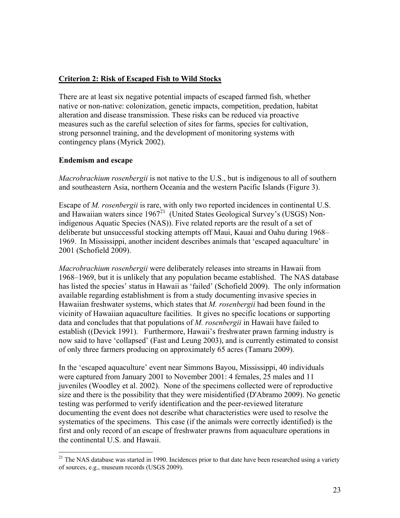# **Criterion 2: Risk of Escaped Fish to Wild Stocks**

There are at least six negative potential impacts of escaped farmed fish, whether native or non-native: colonization, genetic impacts, competition, predation, habitat alteration and disease transmission. These risks can be reduced via proactive measures such as the careful selection of sites for farms, species for cultivation, strong personnel training, and the development of monitoring systems with contingency plans (Myrick 2002).

# **Endemism and escape**

1

*Macrobrachium rosenbergii* is not native to the U.S., but is indigenous to all of southern and southeastern Asia, northern Oceania and the western Pacific Islands (Figure 3).

Escape of *M. rosenbergii* is rare, with only two reported incidences in continental U.S. and Hawaiian waters since  $1967<sup>21</sup>$  (United States Geological Survey's (USGS) Nonindigenous Aquatic Species (NAS)). Five related reports are the result of a set of deliberate but unsuccessful stocking attempts off Maui, Kauai and Oahu during 1968– 1969. In Mississippi, another incident describes animals that 'escaped aquaculture' in 2001 (Schofield 2009).

*Macrobrachium rosenbergii* were deliberately releases into streams in Hawaii from 1968–1969, but it is unlikely that any population became established. The NAS database has listed the species' status in Hawaii as 'failed' (Schofield 2009). The only information available regarding establishment is from a study documenting invasive species in Hawaiian freshwater systems, which states that *M. rosenbergii* had been found in the vicinity of Hawaiian aquaculture facilities. It gives no specific locations or supporting data and concludes that that populations of *M. rosenbergii* in Hawaii have failed to establish ((Devick 1991). Furthermore, Hawaii's freshwater prawn farming industry is now said to have 'collapsed' (Fast and Leung 2003), and is currently estimated to consist of only three farmers producing on approximately 65 acres (Tamaru 2009).

In the 'escaped aquaculture' event near Simmons Bayou, Mississippi, 40 individuals were captured from January 2001 to November 2001: 4 females, 25 males and 11 juveniles (Woodley et al. 2002). None of the specimens collected were of reproductive size and there is the possibility that they were misidentified (D'Abramo 2009). No genetic testing was performed to verify identification and the peer-reviewed literature documenting the event does not describe what characteristics were used to resolve the systematics of the specimens. This case (if the animals were correctly identified) is the first and only record of an escape of freshwater prawns from aquaculture operations in the continental U.S. and Hawaii.

<sup>&</sup>lt;sup>21</sup> The NAS database was started in 1990. Incidences prior to that date have been researched using a variety of sources, e.g., museum records (USGS 2009).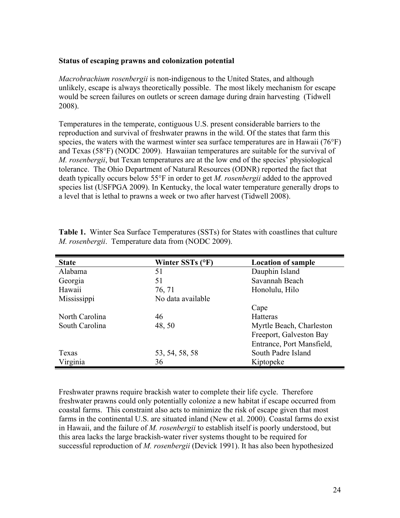#### **Status of escaping prawns and colonization potential**

*Macrobrachium rosenbergii* is non-indigenous to the United States, and although unlikely, escape is always theoretically possible. The most likely mechanism for escape would be screen failures on outlets or screen damage during drain harvesting (Tidwell 2008).

Temperatures in the temperate, contiguous U.S. present considerable barriers to the reproduction and survival of freshwater prawns in the wild. Of the states that farm this species, the waters with the warmest winter sea surface temperatures are in Hawaii (76°F) and Texas (58°F) (NODC 2009). Hawaiian temperatures are suitable for the survival of *M. rosenbergii*, but Texan temperatures are at the low end of the species' physiological tolerance. The Ohio Department of Natural Resources (ODNR) reported the fact that death typically occurs below 55°F in order to get *M. rosenbergii* added to the approved species list (USFPGA 2009). In Kentucky, the local water temperature generally drops to a level that is lethal to prawns a week or two after harvest (Tidwell 2008).

| <b>State</b>   | Winter SSTs (°F)  | <b>Location of sample</b> |
|----------------|-------------------|---------------------------|
| Alabama        | 51                | Dauphin Island            |
| Georgia        | 51                | Savannah Beach            |
| Hawaii         | 76, 71            | Honolulu, Hilo            |
| Mississippi    | No data available |                           |
|                |                   | Cape                      |
| North Carolina | 46                | Hatteras                  |
| South Carolina | 48, 50            | Myrtle Beach, Charleston  |
|                |                   | Freeport, Galveston Bay   |
|                |                   | Entrance, Port Mansfield, |
| Texas          | 53, 54, 58, 58    | South Padre Island        |
| Virginia       | 36                | Kiptopeke                 |

**Table 1.** Winter Sea Surface Temperatures (SSTs) for States with coastlines that culture *M. rosenbergii*. Temperature data from (NODC 2009).

Freshwater prawns require brackish water to complete their life cycle. Therefore freshwater prawns could only potentially colonize a new habitat if escape occurred from coastal farms. This constraint also acts to minimize the risk of escape given that most farms in the continental U.S. are situated inland (New et al. 2000). Coastal farms do exist in Hawaii, and the failure of *M. rosenbergii* to establish itself is poorly understood, but this area lacks the large brackish-water river systems thought to be required for successful reproduction of *M. rosenbergii* (Devick 1991). It has also been hypothesized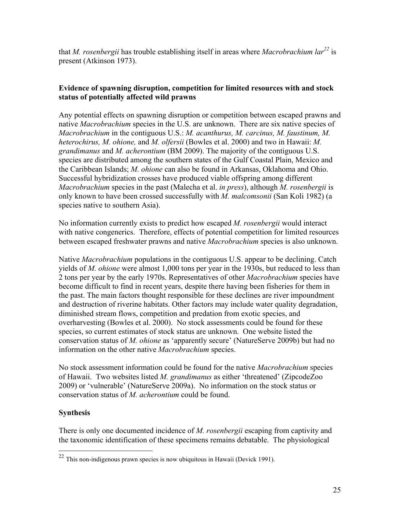that *M. rosenbergii* has trouble establishing itself in areas where *Macrobrachium lar*<sup>22</sup> is present (Atkinson 1973).

# **Evidence of spawning disruption, competition for limited resources with and stock status of potentially affected wild prawns**

Any potential effects on spawning disruption or competition between escaped prawns and native *Macrobrachium* species in the U.S. are unknown. There are six native species of *Macrobrachium* in the contiguous U.S.: *M. acanthurus, M. carcinus, M. faustinum, M. heterochirus, M. ohione,* and *M. olfersii* (Bowles et al. 2000) and two in Hawaii: *M. grandimanus* and *M. acherontium* (BM 2009). The majority of the contiguous U.S. species are distributed among the southern states of the Gulf Coastal Plain, Mexico and the Caribbean Islands; *M. ohione* can also be found in Arkansas, Oklahoma and Ohio. Successful hybridization crosses have produced viable offspring among different *Macrobrachium* species in the past (Malecha et al. *in press*), although *M. rosenbergii* is only known to have been crossed successfully with *M. malcomsonii* (San Koli 1982) (a species native to southern Asia).

No information currently exists to predict how escaped *M. rosenbergii* would interact with native congenerics. Therefore, effects of potential competition for limited resources between escaped freshwater prawns and native *Macrobrachium* species is also unknown.

Native *Macrobrachium* populations in the contiguous U.S. appear to be declining. Catch yields of *M. ohione* were almost 1,000 tons per year in the 1930s, but reduced to less than 2 tons per year by the early 1970s. Representatives of other *Macrobrachium* species have become difficult to find in recent years, despite there having been fisheries for them in the past. The main factors thought responsible for these declines are river impoundment and destruction of riverine habitats. Other factors may include water quality degradation, diminished stream flows, competition and predation from exotic species, and overharvesting (Bowles et al. 2000). No stock assessments could be found for these species, so current estimates of stock status are unknown. One website listed the conservation status of *M. ohione* as 'apparently secure' (NatureServe 2009b) but had no information on the other native *Macrobrachium* species.

No stock assessment information could be found for the native *Macrobrachium* species of Hawaii. Two websites listed *M. grandimanus* as either 'threatened' (ZipcodeZoo 2009) or 'vulnerable' (NatureServe 2009a). No information on the stock status or conservation status of *M. acherontium* could be found.

# **Synthesis**

 $\overline{a}$ 

There is only one documented incidence of *M. rosenbergii* escaping from captivity and the taxonomic identification of these specimens remains debatable. The physiological

 $^{22}$  This non-indigenous prawn species is now ubiquitous in Hawaii (Devick 1991).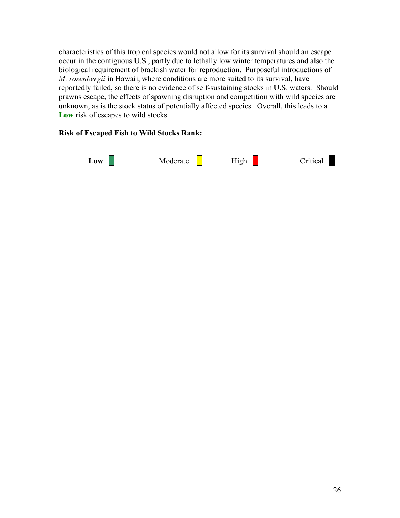characteristics of this tropical species would not allow for its survival should an escape occur in the contiguous U.S., partly due to lethally low winter temperatures and also the biological requirement of brackish water for reproduction. Purposeful introductions of *M. rosenbergii* in Hawaii, where conditions are more suited to its survival, have reportedly failed, so there is no evidence of self-sustaining stocks in U.S. waters. Should prawns escape, the effects of spawning disruption and competition with wild species are unknown, as is the stock status of potentially affected species. Overall, this leads to a **Low** risk of escapes to wild stocks.

# **Risk of Escaped Fish to Wild Stocks Rank:**

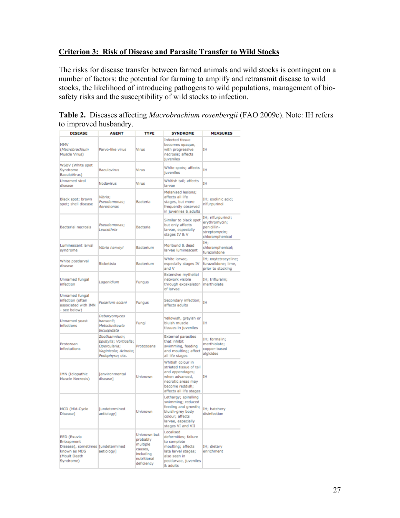# **Criterion 3: Risk of Disease and Parasite Transfer to Wild Stocks**

The risks for disease transfer between farmed animals and wild stocks is contingent on a number of factors: the potential for farming to amplify and retransmit disease to wild stocks, the likelihood of introducing pathogens to wild populations, management of biosafety risks and the susceptibility of wild stocks to infection.

| Table 2. Diseases affecting <i>Macrobrachium rosenbergii</i> (FAO 2009c). Note: IH refers |  |
|-------------------------------------------------------------------------------------------|--|
| to improved husbandry.                                                                    |  |

| <b>DISEASE</b>                                                                                              | <b>AGENT</b>                                                                                                                                                                                                                 | <b>TYPE</b>                                                                                                                                                   | <b>SYNDROME</b>                                                                                                                                       | <b>MEASURES</b>                                                                       |
|-------------------------------------------------------------------------------------------------------------|------------------------------------------------------------------------------------------------------------------------------------------------------------------------------------------------------------------------------|---------------------------------------------------------------------------------------------------------------------------------------------------------------|-------------------------------------------------------------------------------------------------------------------------------------------------------|---------------------------------------------------------------------------------------|
| MMV<br>(Macrobrachium<br>Muscle Virus)                                                                      | Parvo-like virus                                                                                                                                                                                                             | Virus                                                                                                                                                         | Infected tissue<br>becomes opaque,<br>with progressive<br>necrosis; affects<br><b>juveniles</b>                                                       | IΗ                                                                                    |
| WSBV (White spot<br>Syndrome<br>Baculovirus<br>BaculoVirus)                                                 |                                                                                                                                                                                                                              | Virus                                                                                                                                                         | White spots; affects<br>juveniles                                                                                                                     | ΙH                                                                                    |
| <b>Unnamed</b> viral<br>disease                                                                             | Nodavirus                                                                                                                                                                                                                    | Virus                                                                                                                                                         | Whitish tail; affects<br>larvae                                                                                                                       | ĪΗ                                                                                    |
| Black spot; brown<br>spot; shell disease                                                                    | Vibrio;<br>Pseudomonas:<br>Aeromonas                                                                                                                                                                                         | Bacteria                                                                                                                                                      | Melanised lesions;<br>affects all life<br>stages, but more<br>frequently observed<br>in juveniles & adults                                            | IH; oxolinic acid;<br>nifurpurinol                                                    |
| Bacterial necrosis                                                                                          | Pseudomonas;<br>Leucothrix                                                                                                                                                                                                   | <b>Bacteria</b>                                                                                                                                               | Similar to black spot<br>but only affects<br>larvae, especially<br>stages IV & V                                                                      | IH; nifurpurinol;<br>erythromycin;<br>penicillin-<br>streptomycin;<br>chloramphenicol |
| Luminescent larval<br>syndrome                                                                              | Vibrio harveyi                                                                                                                                                                                                               | Bacterium                                                                                                                                                     | Moribund & dead<br>larvae luminescent                                                                                                                 | TH:<br>chloramphenicol;<br>furazolidone                                               |
| White postlarval<br>disease                                                                                 | Rickettsia                                                                                                                                                                                                                   | Bacterium                                                                                                                                                     | White larvae.<br>especially stages IV<br>and V                                                                                                        | IH; oxytetracycline;<br>furazolidone; lime,<br>prior to stocking                      |
| Unnamed fungal<br>Lagenidium<br>Fungus<br>infection                                                         |                                                                                                                                                                                                                              | <b>Extensive mythelial</b><br>network visible<br>through exoskeleton<br>of larvae                                                                             | IH; trifluralin;<br>merthiolate                                                                                                                       |                                                                                       |
| Unnamed fungal<br>infection (often<br>Fusarium solani<br>Fungus<br>associated with IMN<br>- see below)      |                                                                                                                                                                                                                              | Secondary infection; TH<br>affects adults                                                                                                                     |                                                                                                                                                       |                                                                                       |
| Debaryomyces<br>Unnamed yeast<br>hansenii:<br>infections<br>Metschnikowia<br>bicuspidata                    |                                                                                                                                                                                                                              | Fungi                                                                                                                                                         | Yellowish, greyish or<br>bluish muscle<br>tissues in juveniles                                                                                        | IΗ                                                                                    |
| Protozoan<br>infestations                                                                                   | Zoothamnium;<br><b>External parasites</b><br>Epistylis; Vorticella;<br>that inhibit<br>Opercularia;<br>Protozoans<br>swimming, feeding<br>and moulting; affect<br>Vaginicola; Acineta;<br>all life stages<br>Podophyra; etc. |                                                                                                                                                               | IH; formalin;<br>merthiolate;<br>copper-based<br>algicides                                                                                            |                                                                                       |
| IMN (Idiopathic<br>Muscle Necrosis)                                                                         | [environmental<br>disease]                                                                                                                                                                                                   | Unknown                                                                                                                                                       | Whitish colour in<br>striated tissue of tail<br>and appendages;<br>when advanced,<br>necrotic areas may<br>become reddish;<br>affects all life stages | IΗ                                                                                    |
| MCD (Mid-Cycle<br>Disease)                                                                                  | <b>[undetermined</b><br>aetiology]                                                                                                                                                                                           | Lethargy; spiralling<br>swimming; reduced<br>feeding and growth;<br>Unknown<br>bluish-grey body<br>colour; affects<br>larvae, especially<br>stages VI and VII |                                                                                                                                                       | IH; hatchery<br>disinfection                                                          |
| EED (Exuvia<br>Entrapment<br>Disease), sometimes [undetermined<br>known as MDS<br>(Moult Death<br>Syndrome) | aetiology]                                                                                                                                                                                                                   | Unknown but<br>probably<br>multiple<br>causes,<br>including<br>nutritional<br>deficiency                                                                      | Localised<br>deformities; failure<br>to complete<br>moulting; affects<br>late larval stages;<br>also seen in<br>postlarvae, juveniles<br>& adults     | IH; dietary<br>enrichment                                                             |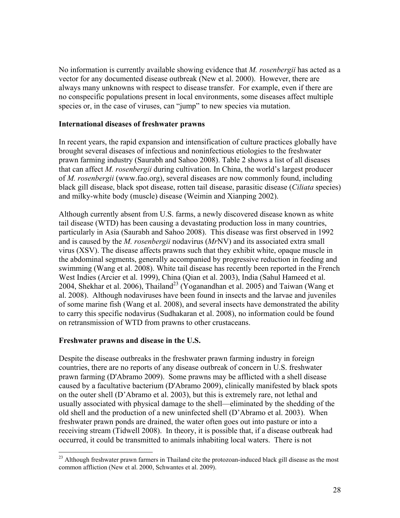No information is currently available showing evidence that *M. rosenbergii* has acted as a vector for any documented disease outbreak (New et al. 2000). However, there are always many unknowns with respect to disease transfer. For example, even if there are no conspecific populations present in local environments, some diseases affect multiple species or, in the case of viruses, can "jump" to new species via mutation.

#### **International diseases of freshwater prawns**

In recent years, the rapid expansion and intensification of culture practices globally have brought several diseases of infectious and noninfectious etiologies to the freshwater prawn farming industry (Saurabh and Sahoo 2008). Table 2 shows a list of all diseases that can affect *M. rosenbergii* during cultivation. In China, the world's largest producer of *M. rosenbergii* (www.fao.org), several diseases are now commonly found, including black gill disease, black spot disease, rotten tail disease, parasitic disease (*Ciliata* species) and milky-white body (muscle) disease (Weimin and Xianping 2002).

Although currently absent from U.S. farms, a newly discovered disease known as white tail disease (WTD) has been causing a devastating production loss in many countries, particularly in Asia (Saurabh and Sahoo 2008). This disease was first observed in 1992 and is caused by the *M. rosenbergii* nodavirus (*Mr*NV) and its associated extra small virus (XSV). The disease affects prawns such that they exhibit white, opaque muscle in the abdominal segments, generally accompanied by progressive reduction in feeding and swimming (Wang et al. 2008). White tail disease has recently been reported in the French West Indies (Arcier et al. 1999), China (Qian et al. 2003), India (Sahul Hameed et al. 2004, Shekhar et al. 2006), Thailand<sup>23</sup> (Yoganandhan et al. 2005) and Taiwan (Wang et al. 2008). Although nodaviruses have been found in insects and the larvae and juveniles of some marine fish (Wang et al. 2008), and several insects have demonstrated the ability to carry this specific nodavirus (Sudhakaran et al. 2008), no information could be found on retransmission of WTD from prawns to other crustaceans.

#### **Freshwater prawns and disease in the U.S.**

1

Despite the disease outbreaks in the freshwater prawn farming industry in foreign countries, there are no reports of any disease outbreak of concern in U.S. freshwater prawn farming (D'Abramo 2009). Some prawns may be afflicted with a shell disease caused by a facultative bacterium (D'Abramo 2009), clinically manifested by black spots on the outer shell (D'Abramo et al. 2003), but this is extremely rare, not lethal and usually associated with physical damage to the shell—eliminated by the shedding of the old shell and the production of a new uninfected shell (D'Abramo et al. 2003). When freshwater prawn ponds are drained, the water often goes out into pasture or into a receiving stream (Tidwell 2008). In theory, it is possible that, if a disease outbreak had occurred, it could be transmitted to animals inhabiting local waters. There is not

<sup>&</sup>lt;sup>23</sup> Although freshwater prawn farmers in Thailand cite the protozoan-induced black gill disease as the most common affliction (New et al. 2000, Schwantes et al. 2009).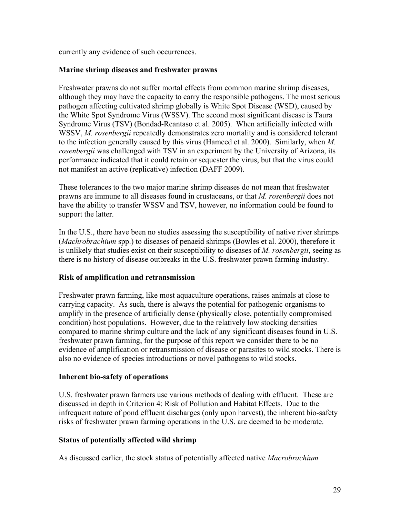currently any evidence of such occurrences.

## **Marine shrimp diseases and freshwater prawns**

Freshwater prawns do not suffer mortal effects from common marine shrimp diseases, although they may have the capacity to carry the responsible pathogens. The most serious pathogen affecting cultivated shrimp globally is White Spot Disease (WSD), caused by the White Spot Syndrome Virus (WSSV). The second most significant disease is Taura Syndrome Virus (TSV) (Bondad-Reantaso et al. 2005). When artificially infected with WSSV, *M. rosenbergii* repeatedly demonstrates zero mortality and is considered tolerant to the infection generally caused by this virus (Hameed et al. 2000). Similarly, when *M. rosenbergii* was challenged with TSV in an experiment by the University of Arizona, its performance indicated that it could retain or sequester the virus, but that the virus could not manifest an active (replicative) infection (DAFF 2009).

These tolerances to the two major marine shrimp diseases do not mean that freshwater prawns are immune to all diseases found in crustaceans, or that *M. rosenbergii* does not have the ability to transfer WSSV and TSV, however, no information could be found to support the latter.

In the U.S., there have been no studies assessing the susceptibility of native river shrimps (*Machrobrachium* spp.) to diseases of penaeid shrimps (Bowles et al. 2000), therefore it is unlikely that studies exist on their susceptibility to diseases of *M. rosenbergii*, seeing as there is no history of disease outbreaks in the U.S. freshwater prawn farming industry.

# **Risk of amplification and retransmission**

Freshwater prawn farming, like most aquaculture operations, raises animals at close to carrying capacity. As such, there is always the potential for pathogenic organisms to amplify in the presence of artificially dense (physically close, potentially compromised condition) host populations. However, due to the relatively low stocking densities compared to marine shrimp culture and the lack of any significant diseases found in U.S. freshwater prawn farming, for the purpose of this report we consider there to be no evidence of amplification or retransmission of disease or parasites to wild stocks. There is also no evidence of species introductions or novel pathogens to wild stocks.

#### **Inherent bio-safety of operations**

U.S. freshwater prawn farmers use various methods of dealing with effluent. These are discussed in depth in Criterion 4: Risk of Pollution and Habitat Effects. Due to the infrequent nature of pond effluent discharges (only upon harvest), the inherent bio-safety risks of freshwater prawn farming operations in the U.S. are deemed to be moderate.

# **Status of potentially affected wild shrimp**

As discussed earlier, the stock status of potentially affected native *Macrobrachium*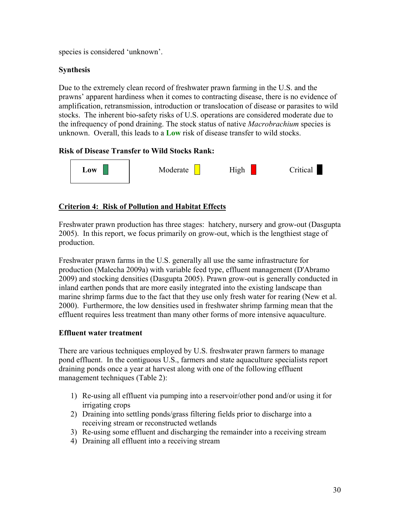species is considered 'unknown'.

# **Synthesis**

Due to the extremely clean record of freshwater prawn farming in the U.S. and the prawns' apparent hardiness when it comes to contracting disease, there is no evidence of amplification, retransmission, introduction or translocation of disease or parasites to wild stocks. The inherent bio-safety risks of U.S. operations are considered moderate due to the infrequency of pond draining. The stock status of native *Macrobrachium* species is unknown. Overall, this leads to a **Low** risk of disease transfer to wild stocks.

# **Risk of Disease Transfer to Wild Stocks Rank:**



# **Criterion 4: Risk of Pollution and Habitat Effects**

Freshwater prawn production has three stages: hatchery, nursery and grow-out (Dasgupta 2005). In this report, we focus primarily on grow-out, which is the lengthiest stage of production.

Freshwater prawn farms in the U.S. generally all use the same infrastructure for production (Malecha 2009a) with variable feed type, effluent management (D'Abramo 2009) and stocking densities (Dasgupta 2005). Prawn grow-out is generally conducted in inland earthen ponds that are more easily integrated into the existing landscape than marine shrimp farms due to the fact that they use only fresh water for rearing (New et al. 2000). Furthermore, the low densities used in freshwater shrimp farming mean that the effluent requires less treatment than many other forms of more intensive aquaculture.

# **Effluent water treatment**

There are various techniques employed by U.S. freshwater prawn farmers to manage pond effluent. In the contiguous U.S., farmers and state aquaculture specialists report draining ponds once a year at harvest along with one of the following effluent management techniques (Table 2):

- 1) Re-using all effluent via pumping into a reservoir/other pond and/or using it for irrigating crops
- 2) Draining into settling ponds/grass filtering fields prior to discharge into a receiving stream or reconstructed wetlands
- 3) Re-using some effluent and discharging the remainder into a receiving stream
- 4) Draining all effluent into a receiving stream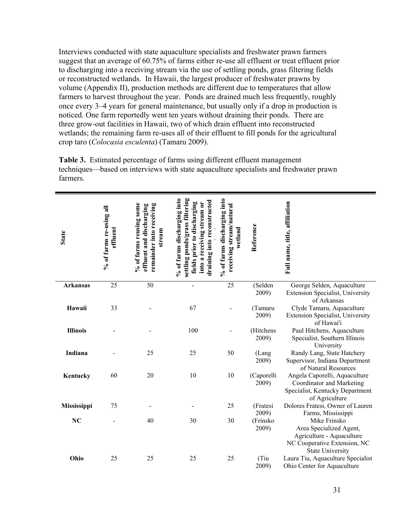Interviews conducted with state aquaculture specialists and freshwater prawn farmers suggest that an average of 60.75% of farms either re-use all effluent or treat effluent prior to discharging into a receiving stream via the use of settling ponds, grass filtering fields or reconstructed wetlands. In Hawaii, the largest producer of freshwater prawns by volume (Appendix II), production methods are different due to temperatures that allow farmers to harvest throughout the year. Ponds are drained much less frequently, roughly once every 3–4 years for general maintenance, but usually only if a drop in production is noticed. One farm reportedly went ten years without draining their ponds. There are three grow-out facilities in Hawaii, two of which drain effluent into reconstructed wetlands; the remaining farm re-uses all of their effluent to fill ponds for the agricultural crop taro (*Colocasia esculenta*) (Tamaru 2009).

**Table 3.** Estimated percentage of farms using different effluent management techniques—based on interviews with state aquaculture specialists and freshwater prawn farmers.

| <b>State</b>    | % of farms re-using all<br>effluent | % of farms reusing some<br>remainder into receiving<br>effluent and discharging<br>stream | settling ponds/grass filtering<br>% of farms discharging into<br>draining into reconstructed<br>fields prior to discharging<br>into a receiving stream or | % of farms discharging into<br>receiving stream/natural<br>wetland | Reference           | Full name, title, affiliation                                                                                                   |
|-----------------|-------------------------------------|-------------------------------------------------------------------------------------------|-----------------------------------------------------------------------------------------------------------------------------------------------------------|--------------------------------------------------------------------|---------------------|---------------------------------------------------------------------------------------------------------------------------------|
| <b>Arkansas</b> | 25                                  | 50                                                                                        |                                                                                                                                                           | 25                                                                 | (Selden<br>2009)    | George Selden, Aquaculture<br>Extension Specialist, University<br>of Arkansas                                                   |
| Hawaii          | 33                                  |                                                                                           | 67                                                                                                                                                        |                                                                    | (Tamaru<br>2009)    | Clyde Tamaru, Aquaculture<br>Extension Specialist, University<br>of Hawai'i                                                     |
| <b>Illinois</b> |                                     |                                                                                           | 100                                                                                                                                                       |                                                                    | (Hitchens<br>2009)  | Paul Hitchens, Aquaculture<br>Specialist, Southern Illinois<br>University                                                       |
| Indiana         |                                     | 25                                                                                        | 25                                                                                                                                                        | 50                                                                 | (Lang<br>2009)      | Randy Lang, State Hatchery<br>Supervisor, Indiana Department<br>of Natural Resources                                            |
| Kentucky        | 60                                  | 20                                                                                        | 10                                                                                                                                                        | 10                                                                 | (Caporelli<br>2009) | Angela Caporelli, Aquaculture<br>Coordinator and Marketing<br>Specialist, Kentucky Department<br>of Agriculture                 |
| Mississippi     | 75                                  |                                                                                           |                                                                                                                                                           | 25                                                                 | (Fratesi<br>2009)   | Dolores Fratesi, Owner of Lauren<br>Farms, Mississippi                                                                          |
| NC              |                                     | 40                                                                                        | 30                                                                                                                                                        | 30                                                                 | (Frinsko<br>2009)   | Mike Frinsko<br>Area Specialized Agent,<br>Agriculture - Aquaculture<br>NC Cooperative Extension, NC<br><b>State University</b> |
| Ohio            | 25                                  | 25                                                                                        | 25                                                                                                                                                        | 25                                                                 | (Tiu<br>2009)       | Laura Tiu, Aquaculture Specialist<br>Ohio Center for Aquaculture                                                                |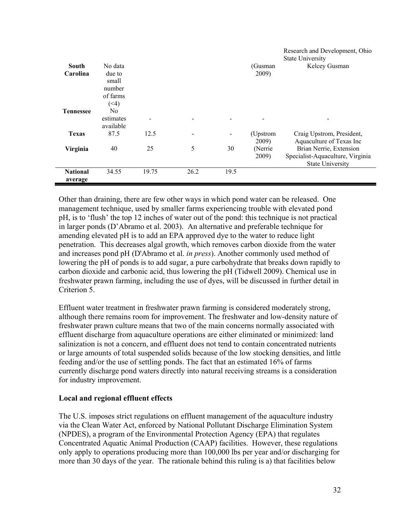|                              |                                                                |       |      |                              |                   | Research and Development, Ohio<br><b>State University</b>                              |
|------------------------------|----------------------------------------------------------------|-------|------|------------------------------|-------------------|----------------------------------------------------------------------------------------|
| South                        | No data                                                        |       |      |                              | (Gusman           | Kelcey Gusman                                                                          |
| Carolina<br><b>Tennessee</b> | due to<br>small<br>number<br>of farms<br>(4)<br>N <sub>0</sub> |       |      |                              | 2009)             |                                                                                        |
|                              | estimates<br>available                                         |       |      |                              |                   |                                                                                        |
| <b>Texas</b>                 | 87.5                                                           | 12.5  |      | $\qquad \qquad \blacksquare$ | (Upstrom<br>2009) | Craig Upstrom, President,<br>Aquaculture of Texas Inc                                  |
| Virginia                     | 40                                                             | 25    | 5    | 30                           | (Nerrie<br>2009)  | Brian Nerrie, Extension<br>Specialist-Aquaculture, Virginia<br><b>State University</b> |
| <b>National</b><br>average   | 34.55                                                          | 19.75 | 26.2 | 19.5                         |                   |                                                                                        |

Other than draining, there are few other ways in which pond water can be released. One management technique, used by smaller farms experiencing trouble with elevated pond pH, is to 'flush' the top 12 inches of water out of the pond: this technique is not practical in larger ponds (D'Abramo et al. 2003). An alternative and preferable technique for amending elevated pH is to add an EPA approved dye to the water to reduce light penetration. This decreases algal growth, which removes carbon dioxide from the water and increases pond pH (D'Abramo et al. *in press*). Another commonly used method of lowering the pH of ponds is to add sugar, a pure carbohydrate that breaks down rapidly to carbon dioxide and carbonic acid, thus lowering the pH (Tidwell 2009). Chemical use in freshwater prawn farming, including the use of dyes, will be discussed in further detail in Criterion 5.

Effluent water treatment in freshwater prawn farming is considered moderately strong, although there remains room for improvement. The freshwater and low-density nature of freshwater prawn culture means that two of the main concerns normally associated with effluent discharge from aquaculture operations are either eliminated or minimized: land salinization is not a concern, and effluent does not tend to contain concentrated nutrients or large amounts of total suspended solids because of the low stocking densities, and little feeding and/or the use of settling ponds. The fact that an estimated 16% of farms currently discharge pond waters directly into natural receiving streams is a consideration for industry improvement.

# **Local and regional effluent effects**

The U.S. imposes strict regulations on effluent management of the aquaculture industry via the Clean Water Act, enforced by National Pollutant Discharge Elimination System (NPDES), a program of the Environmental Protection Agency (EPA) that regulates Concentrated Aquatic Animal Production (CAAP) facilities. However, these regulations only apply to operations producing more than 100,000 lbs per year and/or discharging for more than 30 days of the year. The rationale behind this ruling is a) that facilities below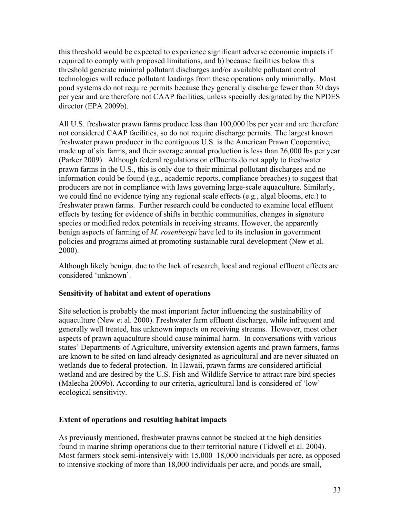this threshold would be expected to experience significant adverse economic impacts if required to comply with proposed limitations, and b) because facilities below this threshold generate minimal pollutant discharges and/or available pollutant control technologies will reduce pollutant loadings from these operations only minimally. Most pond systems do not require permits because they generally discharge fewer than 30 days per year and are therefore not CAAP facilities, unless specially designated by the NPDES director (EPA 2009b).

All U.S. freshwater prawn farms produce less than 100,000 lbs per year and are therefore not considered CAAP facilities, so do not require discharge permits. The largest known freshwater prawn producer in the contiguous U.S. is the American Prawn Cooperative, made up of six farms, and their average annual production is less than 26,000 lbs per year (Parker 2009). Although federal regulations on effluents do not apply to freshwater prawn farms in the U.S., this is only due to their minimal pollutant discharges and no information could be found (e.g., academic reports, compliance breaches) to suggest that producers are not in compliance with laws governing large-scale aquaculture. Similarly, we could find no evidence tying any regional scale effects (e.g., algal blooms, etc.) to freshwater prawn farms. Further research could be conducted to examine local effluent effects by testing for evidence of shifts in benthic communities, changes in signature species or modified redox potentials in receiving streams. However, the apparently benign aspects of farming of *M. rosenbergii* have led to its inclusion in government policies and programs aimed at promoting sustainable rural development (New et al. 2000).

Although likely benign, due to the lack of research, local and regional effluent effects are considered 'unknown'.

# **Sensitivity of habitat and extent of operations**

Site selection is probably the most important factor influencing the sustainability of aquaculture (New et al. 2000). Freshwater farm effluent discharge, while infrequent and generally well treated, has unknown impacts on receiving streams. However, most other aspects of prawn aquaculture should cause minimal harm. In conversations with various states' Departments of Agriculture, university extension agents and prawn farmers, farms are known to be sited on land already designated as agricultural and are never situated on wetlands due to federal protection. In Hawaii, prawn farms are considered artificial wetland and are desired by the U.S. Fish and Wildlife Service to attract rare bird species (Malecha 2009b). According to our criteria, agricultural land is considered of 'low' ecological sensitivity.

# **Extent of operations and resulting habitat impacts**

As previously mentioned, freshwater prawns cannot be stocked at the high densities found in marine shrimp operations due to their territorial nature (Tidwell et al. 2004). Most farmers stock semi-intensively with 15,000–18,000 individuals per acre, as opposed to intensive stocking of more than 18,000 individuals per acre, and ponds are small,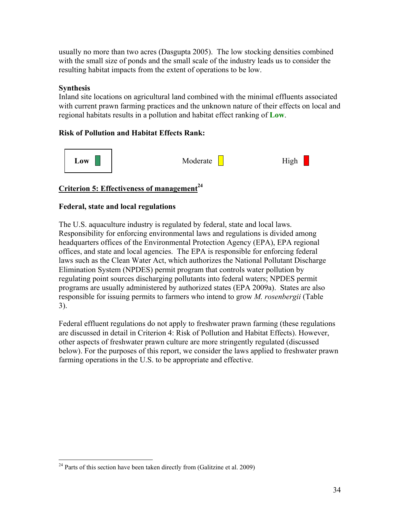usually no more than two acres (Dasgupta 2005). The low stocking densities combined with the small size of ponds and the small scale of the industry leads us to consider the resulting habitat impacts from the extent of operations to be low.

# **Synthesis**

<u>.</u>

Inland site locations on agricultural land combined with the minimal effluents associated with current prawn farming practices and the unknown nature of their effects on local and regional habitats results in a pollution and habitat effect ranking of **Low**.

# **Risk of Pollution and Habitat Effects Rank:**



# **Criterion 5: Effectiveness of management**<sup>24</sup>

# **Federal, state and local regulations**

The U.S. aquaculture industry is regulated by federal, state and local laws. Responsibility for enforcing environmental laws and regulations is divided among headquarters offices of the Environmental Protection Agency (EPA), EPA regional offices, and state and local agencies. The EPA is responsible for enforcing federal laws such as the Clean Water Act, which authorizes the National Pollutant Discharge Elimination System (NPDES) permit program that controls water pollution by regulating point sources discharging pollutants into federal waters; NPDES permit programs are usually administered by authorized states (EPA 2009a). States are also responsible for issuing permits to farmers who intend to grow *M. rosenbergii* (Table 3).

Federal effluent regulations do not apply to freshwater prawn farming (these regulations are discussed in detail in Criterion 4: Risk of Pollution and Habitat Effects). However, other aspects of freshwater prawn culture are more stringently regulated (discussed below). For the purposes of this report, we consider the laws applied to freshwater prawn farming operations in the U.S. to be appropriate and effective.

 $24$  Parts of this section have been taken directly from (Galitzine et al. 2009)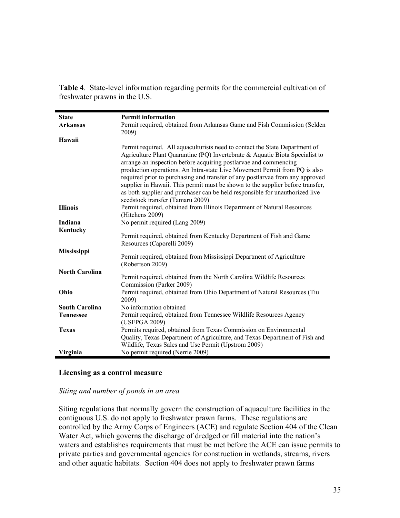**Table 4**. State-level information regarding permits for the commercial cultivation of freshwater prawns in the U.S.

| <b>State</b>          | <b>Permit information</b>                                                                                                                                                                                                                                                                                                                                                                                                                                                        |
|-----------------------|----------------------------------------------------------------------------------------------------------------------------------------------------------------------------------------------------------------------------------------------------------------------------------------------------------------------------------------------------------------------------------------------------------------------------------------------------------------------------------|
| <b>Arkansas</b>       | Permit required, obtained from Arkansas Game and Fish Commission (Selden<br>2009)                                                                                                                                                                                                                                                                                                                                                                                                |
| Hawaii                |                                                                                                                                                                                                                                                                                                                                                                                                                                                                                  |
|                       | Permit required. All aquaculturists need to contact the State Department of<br>Agriculture Plant Quarantine (PQ) Invertebrate & Aquatic Biota Specialist to<br>arrange an inspection before acquiring postlarvae and commencing<br>production operations. An Intra-state Live Movement Permit from PQ is also<br>required prior to purchasing and transfer of any postlarvae from any approved<br>supplier in Hawaii. This permit must be shown to the supplier before transfer, |
|                       | as both supplier and purchaser can be held responsible for unauthorized live<br>seedstock transfer (Tamaru 2009)                                                                                                                                                                                                                                                                                                                                                                 |
| <b>Illinois</b>       | Permit required, obtained from Illinois Department of Natural Resources<br>(Hitchens 2009)                                                                                                                                                                                                                                                                                                                                                                                       |
| Indiana               | No permit required (Lang 2009)                                                                                                                                                                                                                                                                                                                                                                                                                                                   |
| Kentucky              | Permit required, obtained from Kentucky Department of Fish and Game<br>Resources (Caporelli 2009)                                                                                                                                                                                                                                                                                                                                                                                |
| <b>Mississippi</b>    | Permit required, obtained from Mississippi Department of Agriculture<br>(Robertson 2009)                                                                                                                                                                                                                                                                                                                                                                                         |
| <b>North Carolina</b> | Permit required, obtained from the North Carolina Wildlife Resources<br>Commission (Parker 2009)                                                                                                                                                                                                                                                                                                                                                                                 |
| Ohio                  | Permit required, obtained from Ohio Department of Natural Resources (Tiu<br>2009)                                                                                                                                                                                                                                                                                                                                                                                                |
| <b>South Carolina</b> | No information obtained                                                                                                                                                                                                                                                                                                                                                                                                                                                          |
| <b>Tennessee</b>      | Permit required, obtained from Tennessee Wildlife Resources Agency<br>(USFPGA 2009)                                                                                                                                                                                                                                                                                                                                                                                              |
| <b>Texas</b>          | Permits required, obtained from Texas Commission on Environmental<br>Quality, Texas Department of Agriculture, and Texas Department of Fish and<br>Wildlife, Texas Sales and Use Permit (Upstrom 2009)                                                                                                                                                                                                                                                                           |
| Virginia              | No permit required (Nerrie 2009)                                                                                                                                                                                                                                                                                                                                                                                                                                                 |

#### **Licensing as a control measure**

#### *Siting and number of ponds in an area*

Siting regulations that normally govern the construction of aquaculture facilities in the contiguous U.S. do not apply to freshwater prawn farms. These regulations are controlled by the Army Corps of Engineers (ACE) and regulate Section 404 of the Clean Water Act, which governs the discharge of dredged or fill material into the nation's waters and establishes requirements that must be met before the ACE can issue permits to private parties and governmental agencies for construction in wetlands, streams, rivers and other aquatic habitats. Section 404 does not apply to freshwater prawn farms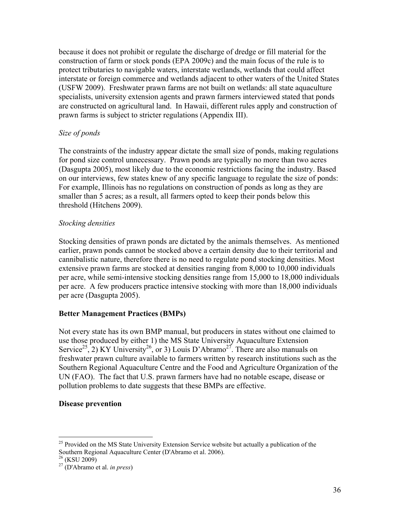because it does not prohibit or regulate the discharge of dredge or fill material for the construction of farm or stock ponds (EPA 2009c) and the main focus of the rule is to protect tributaries to navigable waters, interstate wetlands, wetlands that could affect interstate or foreign commerce and wetlands adjacent to other waters of the United States (USFW 2009). Freshwater prawn farms are not built on wetlands: all state aquaculture specialists, university extension agents and prawn farmers interviewed stated that ponds are constructed on agricultural land. In Hawaii, different rules apply and construction of prawn farms is subject to stricter regulations (Appendix III).

# *Size of ponds*

The constraints of the industry appear dictate the small size of ponds, making regulations for pond size control unnecessary. Prawn ponds are typically no more than two acres (Dasgupta 2005), most likely due to the economic restrictions facing the industry. Based on our interviews, few states knew of any specific language to regulate the size of ponds: For example, Illinois has no regulations on construction of ponds as long as they are smaller than 5 acres; as a result, all farmers opted to keep their ponds below this threshold (Hitchens 2009).

# *Stocking densities*

Stocking densities of prawn ponds are dictated by the animals themselves. As mentioned earlier, prawn ponds cannot be stocked above a certain density due to their territorial and cannibalistic nature, therefore there is no need to regulate pond stocking densities. Most extensive prawn farms are stocked at densities ranging from 8,000 to 10,000 individuals per acre, while semi-intensive stocking densities range from 15,000 to 18,000 individuals per acre. A few producers practice intensive stocking with more than 18,000 individuals per acre (Dasgupta 2005).

# **Better Management Practices (BMPs)**

Not every state has its own BMP manual, but producers in states without one claimed to use those produced by either 1) the MS State University Aquaculture Extension Service<sup>25</sup>, 2) KY University<sup>26</sup>, or 3) Louis D'Abramo<sup>27</sup>. There are also manuals on freshwater prawn culture available to farmers written by research institutions such as the Southern Regional Aquaculture Centre and the Food and Agriculture Organization of the UN (FAO). The fact that U.S. prawn farmers have had no notable escape, disease or pollution problems to date suggests that these BMPs are effective.

#### **Disease prevention**

 $\overline{a}$ 

 $25$  Provided on the MS State University Extension Service website but actually a publication of the Southern Regional Aquaculture Center (D'Abramo et al. 2006).

<sup>26 (</sup>KSU 2009)

<sup>27 (</sup>D'Abramo et al. *in press*)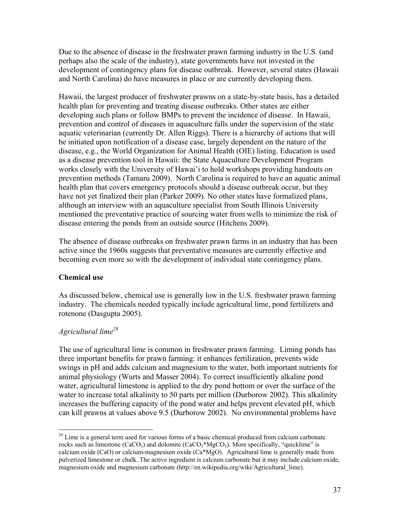Due to the absence of disease in the freshwater prawn farming industry in the U.S. (and perhaps also the scale of the industry), state governments have not invested in the development of contingency plans for disease outbreak. However, several states (Hawaii and North Carolina) do have measures in place or are currently developing them.

Hawaii, the largest producer of freshwater prawns on a state-by-state basis, has a detailed health plan for preventing and treating disease outbreaks. Other states are either developing such plans or follow BMPs to prevent the incidence of disease. In Hawaii, prevention and control of diseases in aquaculture falls under the supervision of the state aquatic veterinarian (currently Dr. Allen Riggs). There is a hierarchy of actions that will be initiated upon notification of a disease case, largely dependent on the nature of the disease, e.g., the World Organization for Animal Health (OIE) listing. Education is used as a disease prevention tool in Hawaii: the State Aquaculture Development Program works closely with the University of Hawai'i to hold workshops providing handouts on prevention methods (Tamaru 2009). North Carolina is required to have an aquatic animal health plan that covers emergency protocols should a disease outbreak occur, but they have not yet finalized their plan (Parker 2009). No other states have formalized plans, although an interview with an aquaculture specialist from South Illinois University mentioned the preventative practice of sourcing water from wells to minimize the risk of disease entering the ponds from an outside source (Hitchens 2009).

The absence of disease outbreaks on freshwater prawn farms in an industry that has been active since the 1960s suggests that preventative measures are currently effective and becoming even more so with the development of individual state contingency plans.

# **Chemical use**

As discussed below, chemical use is generally low in the U.S. freshwater prawn farming industry. The chemicals needed typically include agricultural lime, pond fertilizers and rotenone (Dasgupta 2005).

# *Agricultural lime28*

 $\overline{a}$ 

The use of agricultural lime is common in freshwater prawn farming. Liming ponds has three important benefits for prawn farming: it enhances fertilization, prevents wide swings in pH and adds calcium and magnesium to the water, both important nutrients for animal physiology (Wurts and Masser 2004). To correct insufficiently alkaline pond water, agricultural limestone is applied to the dry pond bottom or over the surface of the water to increase total alkalinity to 50 parts per million (Durborow 2002). This alkalinity increases the buffering capacity of the pond water and helps prevent elevated pH, which can kill prawns at values above 9.5 (Durborow 2002). No environmental problems have

 $2<sup>28</sup>$  Lime is a general term used for various forms of a basic chemical produced from calcium carbonate rocks such as limestone (CaCO<sub>3</sub>) and dolomite (CaCO<sub>3</sub><sup>\*</sup>MgCO<sub>3</sub>). More specifically, "quicklime" is calcium oxide (CaO) or calcium-magnesium oxide (Ca\*MgO). Agricultural lime is generally made from pulverized limestone or chalk. The active ingredient is calcium carbonate but it may include calcium oxide, magnesium oxide and magnesium carbonate (http://en.wikipedia.org/wiki/Agricultural\_lime).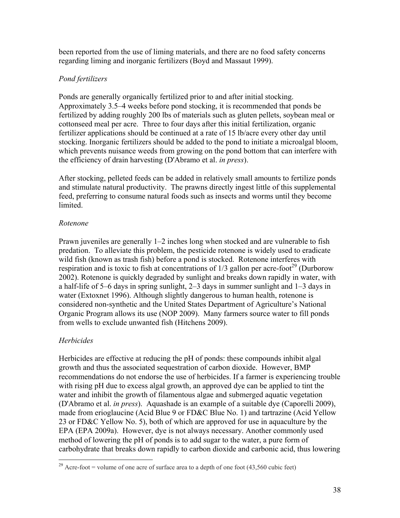been reported from the use of liming materials, and there are no food safety concerns regarding liming and inorganic fertilizers (Boyd and Massaut 1999).

# *Pond fertilizers*

Ponds are generally organically fertilized prior to and after initial stocking. Approximately 3.5–4 weeks before pond stocking, it is recommended that ponds be fertilized by adding roughly 200 lbs of materials such as gluten pellets, soybean meal or cottonseed meal per acre. Three to four days after this initial fertilization, organic fertilizer applications should be continued at a rate of 15 lb/acre every other day until stocking. Inorganic fertilizers should be added to the pond to initiate a microalgal bloom, which prevents nuisance weeds from growing on the pond bottom that can interfere with the efficiency of drain harvesting (D'Abramo et al. *in press*).

After stocking, pelleted feeds can be added in relatively small amounts to fertilize ponds and stimulate natural productivity. The prawns directly ingest little of this supplemental feed, preferring to consume natural foods such as insects and worms until they become limited.

# *Rotenone*

Prawn juveniles are generally 1–2 inches long when stocked and are vulnerable to fish predation. To alleviate this problem, the pesticide rotenone is widely used to eradicate wild fish (known as trash fish) before a pond is stocked. Rotenone interferes with respiration and is toxic to fish at concentrations of  $1/3$  gallon per acre-foot<sup>29</sup> (Durborow 2002). Rotenone is quickly degraded by sunlight and breaks down rapidly in water, with a half-life of 5–6 days in spring sunlight, 2–3 days in summer sunlight and 1–3 days in water (Extoxnet 1996). Although slightly dangerous to human health, rotenone is considered non-synthetic and the United States Department of Agriculture's National Organic Program allows its use (NOP 2009). Many farmers source water to fill ponds from wells to exclude unwanted fish (Hitchens 2009).

# *Herbicides*

 $\overline{a}$ 

Herbicides are effective at reducing the pH of ponds: these compounds inhibit algal growth and thus the associated sequestration of carbon dioxide. However, BMP recommendations do not endorse the use of herbicides. If a farmer is experiencing trouble with rising pH due to excess algal growth, an approved dye can be applied to tint the water and inhibit the growth of filamentous algae and submerged aquatic vegetation (D'Abramo et al. *in press*). Aquashade is an example of a suitable dye (Caporelli 2009), made from erioglaucine (Acid Blue 9 or FD&C Blue No. 1) and tartrazine (Acid Yellow 23 or FD&C Yellow No. 5), both of which are approved for use in aquaculture by the EPA (EPA 2009a). However, dye is not always necessary. Another commonly used method of lowering the pH of ponds is to add sugar to the water, a pure form of carbohydrate that breaks down rapidly to carbon dioxide and carbonic acid, thus lowering

<sup>&</sup>lt;sup>29</sup> Acre-foot = volume of one acre of surface area to a depth of one foot  $(43,560 \text{ cubic feet})$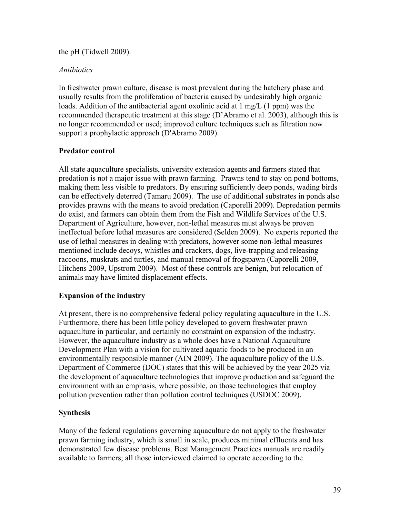#### the pH (Tidwell 2009).

### *Antibiotics*

In freshwater prawn culture, disease is most prevalent during the hatchery phase and usually results from the proliferation of bacteria caused by undesirably high organic loads. Addition of the antibacterial agent oxolinic acid at  $1 \text{ mg/L}$  (1 ppm) was the recommended therapeutic treatment at this stage (D'Abramo et al. 2003), although this is no longer recommended or used; improved culture techniques such as filtration now support a prophylactic approach (D'Abramo 2009).

# **Predator control**

All state aquaculture specialists, university extension agents and farmers stated that predation is not a major issue with prawn farming. Prawns tend to stay on pond bottoms, making them less visible to predators. By ensuring sufficiently deep ponds, wading birds can be effectively deterred (Tamaru 2009). The use of additional substrates in ponds also provides prawns with the means to avoid predation (Caporelli 2009). Depredation permits do exist, and farmers can obtain them from the Fish and Wildlife Services of the U.S. Department of Agriculture, however, non-lethal measures must always be proven ineffectual before lethal measures are considered (Selden 2009). No experts reported the use of lethal measures in dealing with predators, however some non-lethal measures mentioned include decoys, whistles and crackers, dogs, live-trapping and releasing raccoons, muskrats and turtles, and manual removal of frogspawn (Caporelli 2009, Hitchens 2009, Upstrom 2009). Most of these controls are benign, but relocation of animals may have limited displacement effects.

# **Expansion of the industry**

At present, there is no comprehensive federal policy regulating aquaculture in the U.S. Furthermore, there has been little policy developed to govern freshwater prawn aquaculture in particular, and certainly no constraint on expansion of the industry. However, the aquaculture industry as a whole does have a National Aquaculture Development Plan with a vision for cultivated aquatic foods to be produced in an environmentally responsible manner (AIN 2009). The aquaculture policy of the U.S. Department of Commerce (DOC) states that this will be achieved by the year 2025 via the development of aquaculture technologies that improve production and safeguard the environment with an emphasis, where possible, on those technologies that employ pollution prevention rather than pollution control techniques (USDOC 2009).

# **Synthesis**

Many of the federal regulations governing aquaculture do not apply to the freshwater prawn farming industry, which is small in scale, produces minimal effluents and has demonstrated few disease problems. Best Management Practices manuals are readily available to farmers; all those interviewed claimed to operate according to the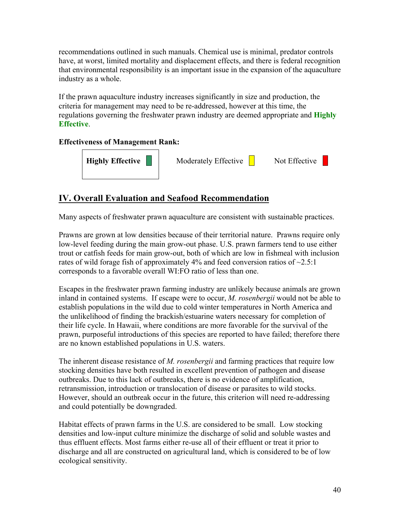recommendations outlined in such manuals. Chemical use is minimal, predator controls have, at worst, limited mortality and displacement effects, and there is federal recognition that environmental responsibility is an important issue in the expansion of the aquaculture industry as a whole.

If the prawn aquaculture industry increases significantly in size and production, the criteria for management may need to be re-addressed, however at this time, the regulations governing the freshwater prawn industry are deemed appropriate and **Highly Effective**.

# **Effectiveness of Management Rank:**



# **IV. Overall Evaluation and Seafood Recommendation**

Many aspects of freshwater prawn aquaculture are consistent with sustainable practices.

Prawns are grown at low densities because of their territorial nature. Prawns require only low-level feeding during the main grow-out phase. U.S. prawn farmers tend to use either trout or catfish feeds for main grow-out, both of which are low in fishmeal with inclusion rates of wild forage fish of approximately 4% and feed conversion ratios of  $\sim$ 2.5:1 corresponds to a favorable overall WI:FO ratio of less than one.

Escapes in the freshwater prawn farming industry are unlikely because animals are grown inland in contained systems. If escape were to occur, *M. rosenbergii* would not be able to establish populations in the wild due to cold winter temperatures in North America and the unlikelihood of finding the brackish/estuarine waters necessary for completion of their life cycle. In Hawaii, where conditions are more favorable for the survival of the prawn, purposeful introductions of this species are reported to have failed; therefore there are no known established populations in U.S. waters.

The inherent disease resistance of *M. rosenbergii* and farming practices that require low stocking densities have both resulted in excellent prevention of pathogen and disease outbreaks. Due to this lack of outbreaks, there is no evidence of amplification, retransmission, introduction or translocation of disease or parasites to wild stocks. However, should an outbreak occur in the future, this criterion will need re-addressing and could potentially be downgraded.

Habitat effects of prawn farms in the U.S. are considered to be small. Low stocking densities and low-input culture minimize the discharge of solid and soluble wastes and thus effluent effects. Most farms either re-use all of their effluent or treat it prior to discharge and all are constructed on agricultural land, which is considered to be of low ecological sensitivity.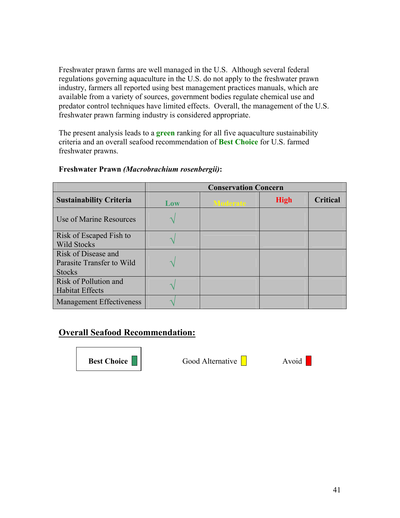Freshwater prawn farms are well managed in the U.S. Although several federal regulations governing aquaculture in the U.S. do not apply to the freshwater prawn industry, farmers all reported using best management practices manuals, which are available from a variety of sources, government bodies regulate chemical use and predator control techniques have limited effects. Overall, the management of the U.S. freshwater prawn farming industry is considered appropriate.

The present analysis leads to a **green** ranking for all five aquaculture sustainability criteria and an overall seafood recommendation of **Best Choice** for U.S. farmed freshwater prawns.

|                                                                   | <b>Conservation Concern</b> |                 |             |                 |
|-------------------------------------------------------------------|-----------------------------|-----------------|-------------|-----------------|
| <b>Sustainability Criteria</b>                                    | Low                         | <b>Moderate</b> | <b>High</b> | <b>Critical</b> |
| Use of Marine Resources                                           |                             |                 |             |                 |
| Risk of Escaped Fish to<br><b>Wild Stocks</b>                     |                             |                 |             |                 |
| Risk of Disease and<br>Parasite Transfer to Wild<br><b>Stocks</b> |                             |                 |             |                 |
| Risk of Pollution and<br><b>Habitat Effects</b>                   |                             |                 |             |                 |
| <b>Management Effectiveness</b>                                   |                             |                 |             |                 |

# **Freshwater Prawn** *(Macrobrachium rosenbergii)***:**

# **Overall Seafood Recommendation:**

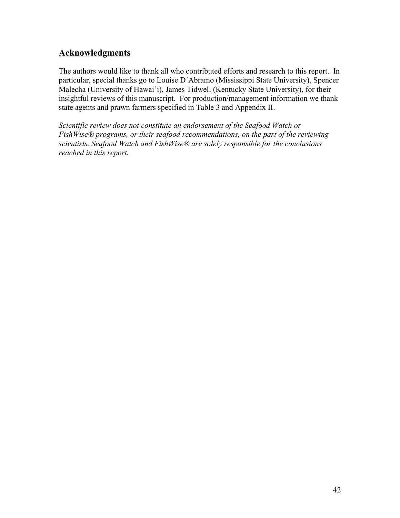# **Acknowledgments**

The authors would like to thank all who contributed efforts and research to this report. In particular, special thanks go to Louise D´Abramo (Mississippi State University), Spencer Malecha (University of Hawai'i), James Tidwell (Kentucky State University), for their insightful reviews of this manuscript. For production/management information we thank state agents and prawn farmers specified in Table 3 and Appendix II.

*Scientific review does not constitute an endorsement of the Seafood Watch or FishWise® programs, or their seafood recommendations, on the part of the reviewing scientists. Seafood Watch and FishWise® are solely responsible for the conclusions reached in this report.*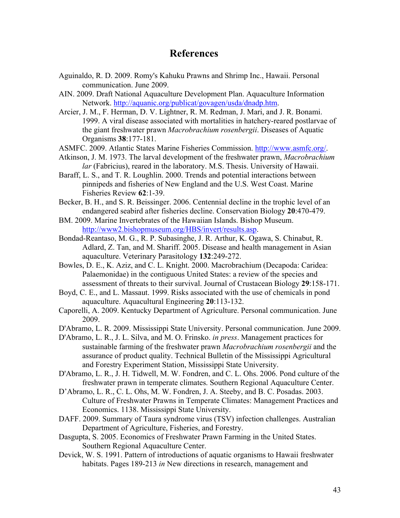# **References**

- Aguinaldo, R. D. 2009. Romy's Kahuku Prawns and Shrimp Inc., Hawaii. Personal communication. June 2009.
- AIN. 2009. Draft National Aquaculture Development Plan. Aquaculture Information Network. http://aquanic.org/publicat/govagen/usda/dnadp.htm.
- Arcier, J. M., F. Herman, D. V. Lightner, R. M. Redman, J. Mari, and J. R. Bonami. 1999. A viral disease associated with mortalities in hatchery-reared postlarvae of the giant freshwater prawn *Macrobrachium rosenbergii*. Diseases of Aquatic Organisms **38**:177-181.
- ASMFC. 2009. Atlantic States Marine Fisheries Commission. http://www.asmfc.org/.
- Atkinson, J. M. 1973. The larval development of the freshwater prawn, *Macrobrachium lar* (Fabricius), reared in the laboratory. M.S. Thesis. University of Hawaii.
- Baraff, L. S., and T. R. Loughlin. 2000. Trends and potential interactions between pinnipeds and fisheries of New England and the U.S. West Coast. Marine Fisheries Review **62**:1-39.
- Becker, B. H., and S. R. Beissinger. 2006. Centennial decline in the trophic level of an endangered seabird after fisheries decline. Conservation Biology **20**:470-479.
- BM. 2009. Marine Invertebrates of the Hawaiian Islands. Bishop Museum. http://www2.bishopmuseum.org/HBS/invert/results.asp.
- Bondad-Reantaso, M. G., R. P. Subasinghe, J. R. Arthur, K. Ogawa, S. Chinabut, R. Adlard, Z. Tan, and M. Shariff. 2005. Disease and health management in Asian aquaculture. Veterinary Parasitology **132**:249-272.
- Bowles, D. E., K. Aziz, and C. L. Knight. 2000. Macrobrachium (Decapoda: Caridea: Palaemonidae) in the contiguous United States: a review of the species and assessment of threats to their survival. Journal of Crustacean Biology **29**:158-171.
- Boyd, C. E., and L. Massaut. 1999. Risks associated with the use of chemicals in pond aquaculture. Aquacultural Engineering **20**:113-132.
- Caporelli, A. 2009. Kentucky Department of Agriculture. Personal communication. June 2009.
- D'Abramo, L. R. 2009. Mississippi State University. Personal communication. June 2009.
- D'Abramo, L. R., J. L. Silva, and M. O. Frinsko. *in press*. Management practices for sustainable farming of the freshwater prawn *Macrobrachium rosenbergii* and the assurance of product quality. Technical Bulletin of the Mississippi Agricultural and Forestry Experiment Station, Mississippi State University.
- D'Abramo, L. R., J. H. Tidwell, M. W. Fondren, and C. L. Ohs. 2006. Pond culture of the freshwater prawn in temperate climates. Southern Regional Aquaculture Center.
- D'Abramo, L. R., C. L. Ohs, M. W. Fondren, J. A. Steeby, and B. C. Posadas. 2003. Culture of Freshwater Prawns in Temperate Climates: Management Practices and Economics. 1138. Mississippi State University.
- DAFF. 2009. Summary of Taura syndrome virus (TSV) infection challenges. Australian Department of Agriculture, Fisheries, and Forestry.
- Dasgupta, S. 2005. Economics of Freshwater Prawn Farming in the United States. Southern Regional Aquaculture Center.
- Devick, W. S. 1991. Pattern of introductions of aquatic organisms to Hawaii freshwater habitats. Pages 189-213 *in* New directions in research, management and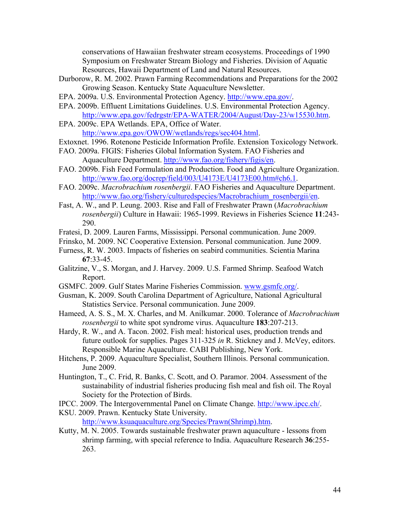conservations of Hawaiian freshwater stream ecosystems. Proceedings of 1990 Symposium on Freshwater Stream Biology and Fisheries. Division of Aquatic Resources, Hawaii Department of Land and Natural Resources.

- Durborow, R. M. 2002. Prawn Farming Recommendations and Preparations for the 2002 Growing Season. Kentucky State Aquaculture Newsletter.
- EPA. 2009a. U.S. Environmental Protection Agency. http://www.epa.gov/.
- EPA. 2009b. Effluent Limitations Guidelines. U.S. Environmental Protection Agency. http://www.epa.gov/fedrgstr/EPA-WATER/2004/August/Day-23/w15530.htm.
- EPA. 2009c. EPA Wetlands. EPA, Office of Water. http://www.epa.gov/OWOW/wetlands/regs/sec404.html.
- Extoxnet. 1996. Rotenone Pesticide Information Profile. Extension Toxicology Network.
- FAO. 2009a. FIGIS: Fisheries Global Information System. FAO Fisheries and Aquaculture Department. http://www.fao.org/fishery/figis/en.
- FAO. 2009b. Fish Feed Formulation and Production. Food and Agriculture Organization. http://www.fao.org/docrep/field/003/U4173E/U4173E00.htm#ch6.1.
- FAO. 2009c. *Macrobrachium rosenbergii*. FAO Fisheries and Aquaculture Department. http://www.fao.org/fishery/culturedspecies/Macrobrachium\_rosenbergii/en.
- Fast, A. W., and P. Leung. 2003. Rise and Fall of Freshwater Prawn (*Macrobrachium rosenbergii*) Culture in Hawaii: 1965-1999. Reviews in Fisheries Science **11**:243- 290.
- Fratesi, D. 2009. Lauren Farms, Mississippi. Personal communication. June 2009.
- Frinsko, M. 2009. NC Cooperative Extension. Personal communication. June 2009.
- Furness, R. W. 2003. Impacts of fisheries on seabird communities. Scientia Marina **67**:33-45.
- Galitzine, V., S. Morgan, and J. Harvey. 2009. U.S. Farmed Shrimp. Seafood Watch Report.
- GSMFC. 2009. Gulf States Marine Fisheries Commission. www.gsmfc.org/.
- Gusman, K. 2009. South Carolina Department of Agriculture, National Agricultural Statistics Service. Personal communication. June 2009.
- Hameed, A. S. S., M. X. Charles, and M. Anilkumar. 2000. Tolerance of *Macrobrachium rosenbergii* to white spot syndrome virus. Aquaculture **183**:207-213.
- Hardy, R. W., and A. Tacon. 2002. Fish meal: historical uses, production trends and future outlook for supplies. Pages 311-325 *in* R. Stickney and J. McVey, editors. Responsible Marine Aquaculture. CABI Publishing, New York.
- Hitchens, P. 2009. Aquaculture Specialist, Southern Illinois. Personal communication. June 2009.
- Huntington, T., C. Frid, R. Banks, C. Scott, and O. Paramor. 2004. Assessment of the sustainability of industrial fisheries producing fish meal and fish oil. The Royal Society for the Protection of Birds.
- IPCC. 2009. The Intergovernmental Panel on Climate Change. http://www.ipcc.ch/.
- KSU. 2009. Prawn. Kentucky State University. http://www.ksuaquaculture.org/Species/Prawn(Shrimp).htm.
- Kutty, M. N. 2005. Towards sustainable freshwater prawn aquaculture lessons from shrimp farming, with special reference to India. Aquaculture Research **36**:255- 263.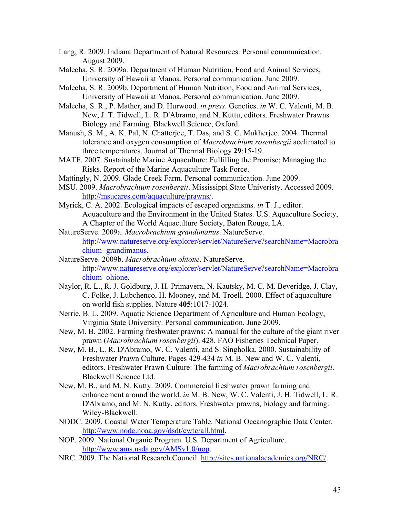- Lang, R. 2009. Indiana Department of Natural Resources. Personal communication. August 2009.
- Malecha, S. R. 2009a. Department of Human Nutrition, Food and Animal Services, University of Hawaii at Manoa. Personal communication. June 2009.
- Malecha, S. R. 2009b. Department of Human Nutrition, Food and Animal Services, University of Hawaii at Manoa. Personal communication. June 2009.
- Malecha, S. R., P. Mather, and D. Hurwood. *in press*. Genetics. *in* W. C. Valenti, M. B. New, J. T. Tidwell, L. R. D'Abramo, and N. Kuttu, editors. Freshwater Prawns Biology and Farming. Blackwell Science, Oxford.
- Manush, S. M., A. K. Pal, N. Chatterjee, T. Das, and S. C. Mukherjee. 2004. Thermal tolerance and oxygen consumption of *Macrobrachium rosenbergii* acclimated to three temperatures. Journal of Thermal Biology **29**:15-19.
- MATF. 2007. Sustainable Marine Aquaculture: Fulfilling the Promise; Managing the Risks. Report of the Marine Aquaculture Task Force.
- Mattingly, N. 2009. Glade Creek Farm. Personal communication. June 2009.
- MSU. 2009. *Macrobrachium rosenbergii*. Mississippi State Univeristy. Accessed 2009. http://msucares.com/aquaculture/prawns/.
- Myrick, C. A. 2002. Ecological impacts of escaped organisms. *in* T. J., editor. Aquaculture and the Environment in the United States. U.S. Aquaculture Society, A Chapter of the World Aquaculture Society, Baton Rouge, LA.
- NatureServe. 2009a. *Macrobrachium grandimanus*. NatureServe. http://www.natureserve.org/explorer/servlet/NatureServe?searchName=Macrobra chium+grandimanus.
- NatureServe. 2009b. *Macrobrachium ohione*. NatureServe. http://www.natureserve.org/explorer/servlet/NatureServe?searchName=Macrobra chium+ohione.
- Naylor, R. L., R. J. Goldburg, J. H. Primavera, N. Kautsky, M. C. M. Beveridge, J. Clay, C. Folke, J. Lubchenco, H. Mooney, and M. Troell. 2000. Effect of aquaculture on world fish supplies. Nature **405**:1017-1024.
- Nerrie, B. L. 2009. Aquatic Science Department of Agriculture and Human Ecology, Virginia State University. Personal communication. June 2009.
- New, M. B. 2002. Farming freshwater prawns: A manual for the culture of the giant river prawn (*Macrobrachium rosenbergii*). 428. FAO Fisheries Technical Paper.
- New, M. B., L. R. D'Abramo, W. C. Valenti, and S. Singholka. 2000. Sustainability of Freshwater Prawn Culture. Pages 429-434 *in* M. B. New and W. C. Valenti, editors. Freshwater Prawn Culture: The farming of *Macrobrachium rosenbergii*. Blackwell Science Ltd.
- New, M. B., and M. N. Kutty. 2009. Commercial freshwater prawn farming and enhancement around the world. *in* M. B. New, W. C. Valenti, J. H. Tidwell, L. R. D'Abramo, and M. N. Kutty, editors. Freshwater prawns; biology and farming. Wiley-Blackwell.
- NODC. 2009. Coastal Water Temperature Table. National Oceanographic Data Center. http://www.nodc.noaa.gov/dsdt/cwtg/all.html.
- NOP. 2009. National Organic Program. U.S. Department of Agriculture. http://www.ams.usda.gov/AMSv1.0/nop.
- NRC. 2009. The National Research Council. http://sites.nationalacademies.org/NRC/.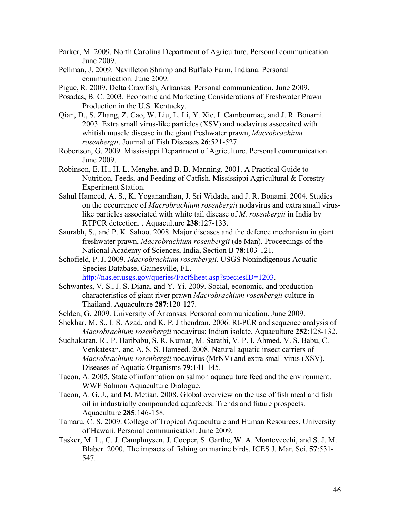- Parker, M. 2009. North Carolina Department of Agriculture. Personal communication. June 2009.
- Pellman, J. 2009. Navilleton Shrimp and Buffalo Farm, Indiana. Personal communication. June 2009.
- Pigue, R. 2009. Delta Crawfish, Arkansas. Personal communication. June 2009.
- Posadas, B. C. 2003. Economic and Marketing Considerations of Freshwater Prawn Production in the U.S. Kentucky.
- Qian, D., S. Zhang, Z. Cao, W. Liu, L. Li, Y. Xie, I. Cambournac, and J. R. Bonami. 2003. Extra small virus-like particles (XSV) and nodavirus assocaited with whitish muscle disease in the giant freshwater prawn, *Macrobrachium rosenbergii*. Journal of Fish Diseases **26**:521-527.
- Robertson, G. 2009. Mississippi Department of Agriculture. Personal communication. June 2009.
- Robinson, E. H., H. L. Menghe, and B. B. Manning. 2001. A Practical Guide to Nutrition, Feeds, and Feeding of Catfish. Mississippi Agricultural & Forestry Experiment Station.
- Sahul Hameed, A. S., K. Yoganandhan, J. Sri Widada, and J. R. Bonami. 2004. Studies on the occurrence of *Macrobrachium rosenbergii* nodavirus and extra small viruslike particles associated with white tail disease of *M. rosenbergii* in India by RTPCR detection. . Aquaculture **238**:127-133.
- Saurabh, S., and P. K. Sahoo. 2008. Major diseases and the defence mechanism in giant freshwater prawn, *Macrobrachium rosenbergii* (de Man). Proceedings of the National Academy of Sciences, India, Section B **78**:103-121.
- Schofield, P. J. 2009. *Macrobrachium rosenbergii*. USGS Nonindigenous Aquatic Species Database, Gainesville, FL.

http://nas.er.usgs.gov/queries/FactSheet.asp?speciesID=1203.

- Schwantes, V. S., J. S. Diana, and Y. Yi. 2009. Social, economic, and production characteristics of giant river prawn *Macrobrachium rosenbergii* culture in Thailand. Aquaculture **287**:120-127.
- Selden, G. 2009. University of Arkansas. Personal communication. June 2009.
- Shekhar, M. S., I. S. Azad, and K. P. Jithendran. 2006. Rt-PCR and sequence analysis of *Macrobrachium rosenbergii* nodavirus: Indian isolate. Aquaculture **252**:128-132.
- Sudhakaran, R., P. Haribabu, S. R. Kumar, M. Sarathi, V. P. I. Ahmed, V. S. Babu, C. Venkatesan, and A. S. S. Hameed. 2008. Natural aquatic insect carriers of *Macrobrachium rosenbergii* nodavirus (MrNV) and extra small virus (XSV). Diseases of Aquatic Organisms **79**:141-145.
- Tacon, A. 2005. State of information on salmon aquaculture feed and the environment. WWF Salmon Aquaculture Dialogue.
- Tacon, A. G. J., and M. Metian. 2008. Global overview on the use of fish meal and fish oil in industrially compounded aquafeeds: Trends and future prospects. Aquaculture **285**:146-158.
- Tamaru, C. S. 2009. College of Tropical Aquaculture and Human Resources, University of Hawaii. Personal communication. June 2009.
- Tasker, M. L., C. J. Camphuysen, J. Cooper, S. Garthe, W. A. Montevecchi, and S. J. M. Blaber. 2000. The impacts of fishing on marine birds. ICES J. Mar. Sci. **57**:531- 547.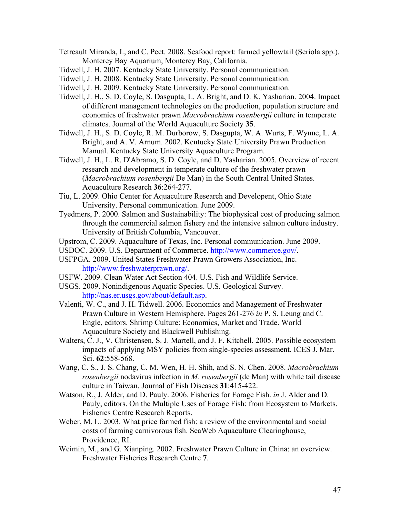- Tetreault Miranda, I., and C. Peet. 2008. Seafood report: farmed yellowtail (Seriola spp.). Monterey Bay Aquarium, Monterey Bay, California.
- Tidwell, J. H. 2007. Kentucky State University. Personal communication.
- Tidwell, J. H. 2008. Kentucky State University. Personal communication.
- Tidwell, J. H. 2009. Kentucky State University. Personal communication.
- Tidwell, J. H., S. D. Coyle, S. Dasgupta, L. A. Bright, and D. K. Yasharian. 2004. Impact of different management technologies on the production, population structure and economics of freshwater prawn *Macrobrachium rosenbergii* culture in temperate climates. Journal of the World Aquaculture Society **35**.
- Tidwell, J. H., S. D. Coyle, R. M. Durborow, S. Dasgupta, W. A. Wurts, F. Wynne, L. A. Bright, and A. V. Arnum. 2002. Kentucky State University Prawn Production Manual. Kentucky State University Aquaculture Program.
- Tidwell, J. H., L. R. D'Abramo, S. D. Coyle, and D. Yasharian. 2005. Overview of recent research and development in temperate culture of the freshwater prawn (*Macrobrachium rosenbergii* De Man) in the South Central United States. Aquaculture Research **36**:264-277.
- Tiu, L. 2009. Ohio Center for Aquaculture Research and Developent, Ohio State University. Personal communication. June 2009.
- Tyedmers, P. 2000. Salmon and Sustainability: The biophysical cost of producing salmon through the commercial salmon fishery and the intensive salmon culture industry. University of British Columbia, Vancouver.
- Upstrom, C. 2009. Aquaculture of Texas, Inc. Personal communication. June 2009.
- USDOC. 2009. U.S. Department of Commerce. http://www.commerce.gov/.
- USFPGA. 2009. United States Freshwater Prawn Growers Association, Inc. http://www.freshwaterprawn.org/.
- USFW. 2009. Clean Water Act Section 404. U.S. Fish and Wildlife Service.
- USGS. 2009. Nonindigenous Aquatic Species. U.S. Geological Survey. http://nas.er.usgs.gov/about/default.asp.
- Valenti, W. C., and J. H. Tidwell. 2006. Economics and Management of Freshwater Prawn Culture in Western Hemisphere. Pages 261-276 *in* P. S. Leung and C. Engle, editors. Shrimp Culture: Economics, Market and Trade. World Aquaculture Society and Blackwell Publishing.
- Walters, C. J., V. Christensen, S. J. Martell, and J. F. Kitchell. 2005. Possible ecosystem impacts of applying MSY policies from single-species assessment. ICES J. Mar. Sci. **62**:558-568.
- Wang, C. S., J. S. Chang, C. M. Wen, H. H. Shih, and S. N. Chen. 2008. *Macrobrachium rosenbergii* nodavirus infection in *M. rosenbergii* (de Man) with white tail disease culture in Taiwan. Journal of Fish Diseases **31**:415-422.
- Watson, R., J. Alder, and D. Pauly. 2006. Fisheries for Forage Fish. *in* J. Alder and D. Pauly, editors. On the Multiple Uses of Forage Fish: from Ecosystem to Markets. Fisheries Centre Research Reports.
- Weber, M. L. 2003. What price farmed fish: a review of the environmental and social costs of farming carnivorous fish. SeaWeb Aquaculture Clearinghouse, Providence, RI.
- Weimin, M., and G. Xianping. 2002. Freshwater Prawn Culture in China: an overview. Freshwater Fisheries Research Centre **7**.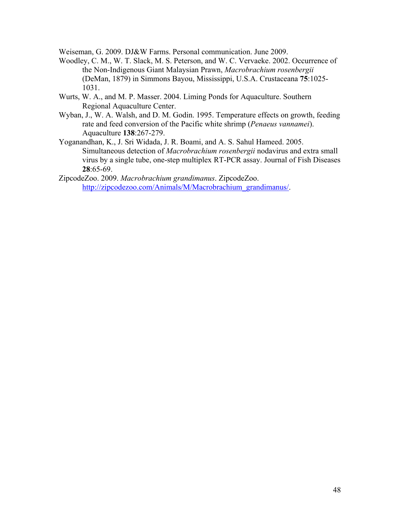Weiseman, G. 2009. DJ&W Farms. Personal communication. June 2009.

- Woodley, C. M., W. T. Slack, M. S. Peterson, and W. C. Vervaeke. 2002. Occurrence of the Non-Indigenous Giant Malaysian Prawn, *Macrobrachium rosenbergii*  (DeMan, 1879) in Simmons Bayou, Mississippi, U.S.A. Crustaceana **75**:1025- 1031.
- Wurts, W. A., and M. P. Masser. 2004. Liming Ponds for Aquaculture. Southern Regional Aquaculture Center.
- Wyban, J., W. A. Walsh, and D. M. Godin. 1995. Temperature effects on growth, feeding rate and feed conversion of the Pacific white shrimp (*Penaeus vannamei*). Aquaculture **138**:267-279.
- Yoganandhan, K., J. Sri Widada, J. R. Boami, and A. S. Sahul Hameed. 2005. Simultaneous detection of *Macrobrachium rosenbergii* nodavirus and extra small virus by a single tube, one-step multiplex RT-PCR assay. Journal of Fish Diseases **28**:65-69.
- ZipcodeZoo. 2009. *Macrobrachium grandimanus*. ZipcodeZoo. http://zipcodezoo.com/Animals/M/Macrobrachium\_grandimanus/.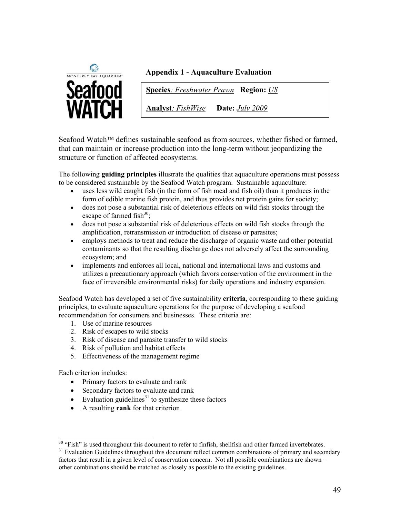

# **Appendix 1 - Aquaculture Evaluation**

**Species***: Freshwater Prawn* **Region:** *US*

**Analyst***: FishWise* **Date:** *July 2009*

Seafood Watch<sup> $TM$ </sup> defines sustainable seafood as from sources, whether fished or farmed, that can maintain or increase production into the long-term without jeopardizing the structure or function of affected ecosystems.

The following **guiding principles** illustrate the qualities that aquaculture operations must possess to be considered sustainable by the Seafood Watch program. Sustainable aquaculture:

- uses less wild caught fish (in the form of fish meal and fish oil) than it produces in the form of edible marine fish protein, and thus provides net protein gains for society;
- does not pose a substantial risk of deleterious effects on wild fish stocks through the escape of farmed fish $30$ ;
- does not pose a substantial risk of deleterious effects on wild fish stocks through the amplification, retransmission or introduction of disease or parasites;
- employs methods to treat and reduce the discharge of organic waste and other potential contaminants so that the resulting discharge does not adversely affect the surrounding ecosystem; and
- implements and enforces all local, national and international laws and customs and utilizes a precautionary approach (which favors conservation of the environment in the face of irreversible environmental risks) for daily operations and industry expansion.

Seafood Watch has developed a set of five sustainability **criteria**, corresponding to these guiding principles, to evaluate aquaculture operations for the purpose of developing a seafood recommendation for consumers and businesses. These criteria are:

- 1. Use of marine resources
- 2. Risk of escapes to wild stocks
- 3. Risk of disease and parasite transfer to wild stocks
- 4. Risk of pollution and habitat effects
- 5. Effectiveness of the management regime

Each criterion includes:

- Primary factors to evaluate and rank
- Secondary factors to evaluate and rank
- $\bullet$  Evaluation guidelines<sup>31</sup> to synthesize these factors
- " A resulting **rank** for that criterion

<sup>&</sup>lt;sup>30</sup> "Fish" is used throughout this document to refer to finfish, shellfish and other farmed invertebrates.

<sup>&</sup>lt;sup>31</sup> Evaluation Guidelines throughout this document reflect common combinations of primary and secondary factors that result in a given level of conservation concern. Not all possible combinations are shown – other combinations should be matched as closely as possible to the existing guidelines.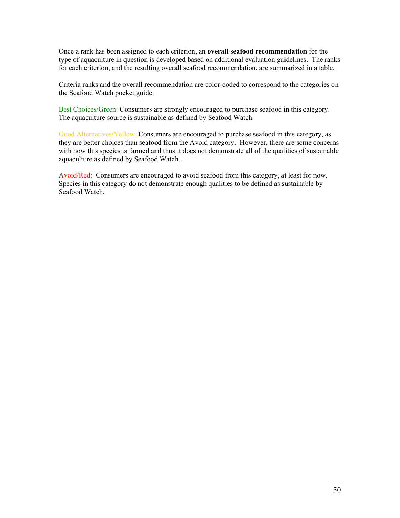Once a rank has been assigned to each criterion, an **overall seafood recommendation** for the type of aquaculture in question is developed based on additional evaluation guidelines. The ranks for each criterion, and the resulting overall seafood recommendation, are summarized in a table.

Criteria ranks and the overall recommendation are color-coded to correspond to the categories on the Seafood Watch pocket guide:

Best Choices/Green: Consumers are strongly encouraged to purchase seafood in this category. The aquaculture source is sustainable as defined by Seafood Watch.

Good Alternatives/Yellow: Consumers are encouraged to purchase seafood in this category, as they are better choices than seafood from the Avoid category. However, there are some concerns with how this species is farmed and thus it does not demonstrate all of the qualities of sustainable aquaculture as defined by Seafood Watch.

Avoid/Red: Consumers are encouraged to avoid seafood from this category, at least for now. Species in this category do not demonstrate enough qualities to be defined as sustainable by Seafood Watch.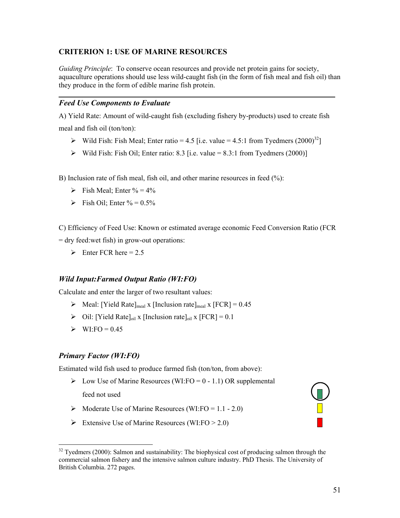# **CRITERION 1: USE OF MARINE RESOURCES**

*Guiding Principle*: To conserve ocean resources and provide net protein gains for society, aquaculture operations should use less wild-caught fish (in the form of fish meal and fish oil) than they produce in the form of edible marine fish protein.

# *Feed Use Components to Evaluate*

A) Yield Rate: Amount of wild-caught fish (excluding fishery by-products) used to create fish meal and fish oil (ton/ton):

- $\triangleright$  Wild Fish: Fish Meal; Enter ratio = 4.5 [i.e. value = 4.5:1 from Tyedmers (2000)<sup>32</sup>]
- $\triangleright$  Wild Fish: Fish Oil; Enter ratio: 8.3 [i.e. value = 8.3:1 from Tyedmers (2000)]

B) Inclusion rate of fish meal, fish oil, and other marine resources in feed (%):

- $\triangleright$  Fish Meal; Enter % = 4%
- $\triangleright$  Fish Oil; Enter % = 0.5%

C) Efficiency of Feed Use: Known or estimated average economic Feed Conversion Ratio (FCR = dry feed:wet fish) in grow-out operations:

 $\triangleright$  Enter FCR here = 2.5

#### *Wild Input:Farmed Output Ratio (WI:FO)*

Calculate and enter the larger of two resultant values:

- $\triangleright$  Meal: [Yield Rate]<sub>meal</sub> x [Inclusion rate]<sub>meal</sub> x [FCR] = 0.45
- $\triangleright$  Oil: [Yield Rate]<sub>oil</sub> x [Inclusion rate]<sub>oil</sub> x [FCR] = 0.1
- $\triangleright$  WI:FO = 0.45

#### *Primary Factor (WI:FO)*

 $\overline{a}$ 

Estimated wild fish used to produce farmed fish (ton/ton, from above):

- $\triangleright$  Low Use of Marine Resources (WI:FO = 0 1.1) OR supplemental feed not used
- $\triangleright$  Moderate Use of Marine Resources (WI:FO = 1.1 2.0)
- Extensive Use of Marine Resources (WI:FO  $> 2.0$ )

<sup>&</sup>lt;sup>32</sup> Tyedmers (2000): Salmon and sustainability: The biophysical cost of producing salmon through the commercial salmon fishery and the intensive salmon culture industry. PhD Thesis. The University of British Columbia. 272 pages.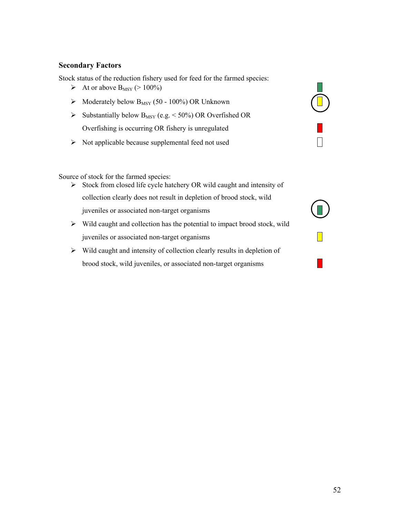#### **Secondary Factors**

Stock status of the reduction fishery used for feed for the farmed species:

- At or above  $B_{MSY}$  (> 100%)
- $\triangleright$  Moderately below B<sub>MSY</sub> (50 100%) OR Unknown
- $\triangleright$  Substantially below B<sub>MSY</sub> (e.g. < 50%) OR Overfished OR Overfishing is occurring OR fishery is unregulated
- $\triangleright$  Not applicable because supplemental feed not used

Source of stock for the farmed species:

- $\triangleright$  Stock from closed life cycle hatchery OR wild caught and intensity of collection clearly does not result in depletion of brood stock, wild juveniles or associated non-target organisms
- $\triangleright$  Wild caught and collection has the potential to impact brood stock, wild juveniles or associated non-target organisms
- $\triangleright$  Wild caught and intensity of collection clearly results in depletion of brood stock, wild juveniles, or associated non-target organisms

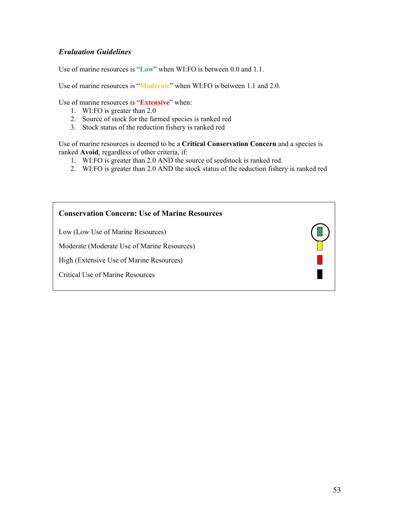# *Evaluation Guidelines*

Use of marine resources is "**Low**" when WI:FO is between 0.0 and 1.1.

Use of marine resources is "**Moderate**" when WI:FO is between 1.1 and 2.0.

Use of marine resources is "**Extensive**" when:

- 1. WI:FO is greater than 2.0
- 2. Source of stock for the farmed species is ranked red
- 3. Stock status of the reduction fishery is ranked red

Use of marine resources is deemed to be a **Critical Conservation Concern** and a species is ranked **Avoid**, regardless of other criteria, if:

- 1. WI:FO is greater than 2.0 AND the source of seedstock is ranked red.
- 2. WI:FO is greater than 2.0 AND the stock status of the reduction fishery is ranked red

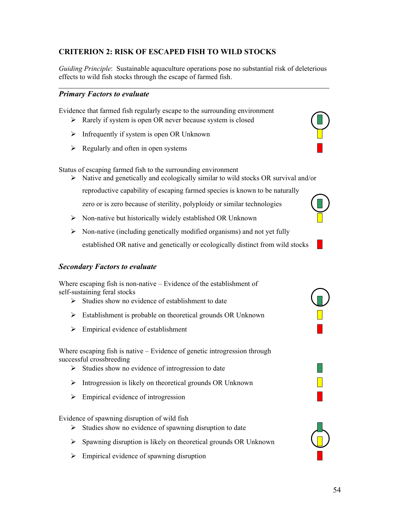# **CRITERION 2: RISK OF ESCAPED FISH TO WILD STOCKS**

*Guiding Principle*: Sustainable aquaculture operations pose no substantial risk of deleterious effects to wild fish stocks through the escape of farmed fish.

#### *Primary Factors to evaluate*

Evidence that farmed fish regularly escape to the surrounding environment

- $\triangleright$  Rarely if system is open OR never because system is closed
- $\triangleright$  Infrequently if system is open OR Unknown
- $\triangleright$  Regularly and often in open systems

Status of escaping farmed fish to the surrounding environment

- $\triangleright$  Native and genetically and ecologically similar to wild stocks OR survival and/or
	- reproductive capability of escaping farmed species is known to be naturally

zero or is zero because of sterility, polyploidy or similar technologies

- $\triangleright$  Non-native but historically widely established OR Unknown
- $\triangleright$  Non-native (including genetically modified organisms) and not yet fully established OR native and genetically or ecologically distinct from wild stocks

#### *Secondary Factors to evaluate*

Where escaping fish is non-native – Evidence of the establishment of self-sustaining feral stocks

- $\triangleright$  Studies show no evidence of establishment to date
- $\triangleright$  Establishment is probable on theoretical grounds OR Unknown
- $\triangleright$  Empirical evidence of establishment

Where escaping fish is native – Evidence of genetic introgression through successful crossbreeding

- $\triangleright$  Studies show no evidence of introgression to date
- $\triangleright$  Introgression is likely on theoretical grounds OR Unknown
- $\triangleright$  Empirical evidence of introgression

Evidence of spawning disruption of wild fish

- $\triangleright$  Studies show no evidence of spawning disruption to date
- $\triangleright$  Spawning disruption is likely on theoretical grounds OR Unknown
- $\triangleright$  Empirical evidence of spawning disruption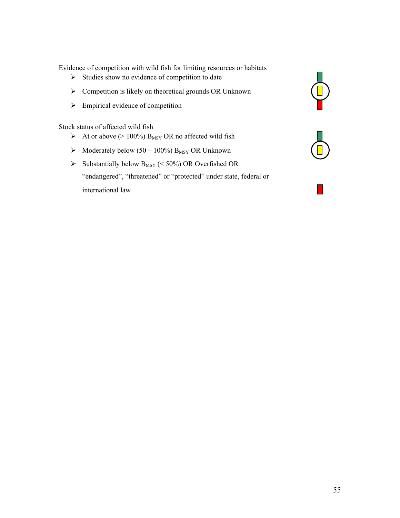Evidence of competition with wild fish for limiting resources or habitats

- 
- Exercise show no evidence of competition to date<br>
Exercise Studies Show no evidence of competition to date<br>
Studies OR Unknown<br>
Studies Show no evidence of competition to date<br>
Studies OR Unknown ! Competition is likely on theoretical grounds OR Unknown
- 

Stock status of affected wild fish

- Empirical evidence of competition<br>
ck status of affected wild fish<br>
At or above (> 100%) B<sub>MSY</sub> OR no affected wild fish<br>
A Moderately below (50 100%) B<sub>MSY</sub> OR Unknown  $\triangleright$  At or above (> 100%) B<sub>MSY</sub> OR no affected wild fish
- $\triangleright$  Moderately below (50 100%) B<sub>MSY</sub> OR Unknown
- $\triangleright$  Substantially below B<sub>MSY</sub> (< 50%) OR Overfished OR "endangered", "threatened" or "protected" under state, federal or international law



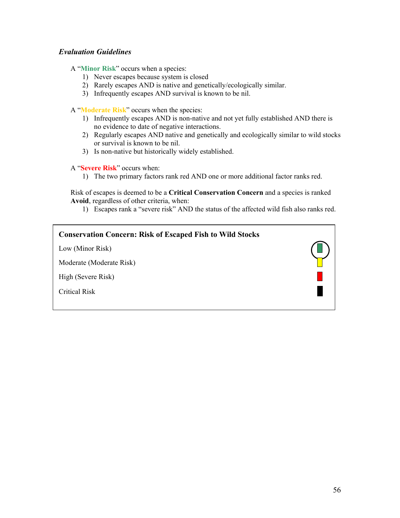### *Evaluation Guidelines*

A "**Minor Risk**" occurs when a species:

- 1) Never escapes because system is closed
- 2) Rarely escapes AND is native and genetically/ecologically similar.
- 3) Infrequently escapes AND survival is known to be nil.

A "**Moderate Risk**" occurs when the species:

- 1) Infrequently escapes AND is non-native and not yet fully established AND there is no evidence to date of negative interactions.
- 2) Regularly escapes AND native and genetically and ecologically similar to wild stocks or survival is known to be nil.
- 3) Is non-native but historically widely established.

A "**Severe Risk**" occurs when:

1) The two primary factors rank red AND one or more additional factor ranks red.

Risk of escapes is deemed to be a **Critical Conservation Concern** and a species is ranked **Avoid**, regardless of other criteria, when:

1) Escapes rank a "severe risk" AND the status of the affected wild fish also ranks red.

| <b>Conservation Concern: Risk of Escaped Fish to Wild Stocks</b> |  |
|------------------------------------------------------------------|--|
| Low (Minor Risk)                                                 |  |
| Moderate (Moderate Risk)                                         |  |
| High (Severe Risk)                                               |  |
| <b>Critical Risk</b>                                             |  |
|                                                                  |  |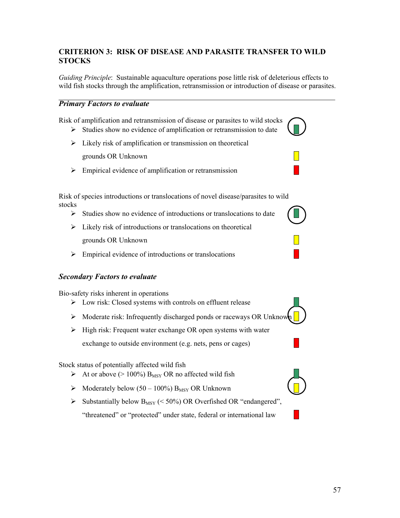# **CRITERION 3: RISK OF DISEASE AND PARASITE TRANSFER TO WILD STOCKS**

*Guiding Principle*: Sustainable aquaculture operations pose little risk of deleterious effects to wild fish stocks through the amplification, retransmission or introduction of disease or parasites.

#### *Primary Factors to evaluate*

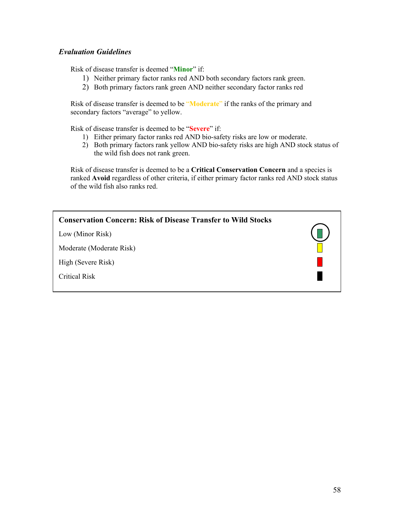# *Evaluation Guidelines*

Risk of disease transfer is deemed "**Minor**" if:

- 1) Neither primary factor ranks red AND both secondary factors rank green.
- 2) Both primary factors rank green AND neither secondary factor ranks red

Risk of disease transfer is deemed to be "**Moderate**" if the ranks of the primary and secondary factors "average" to yellow.

Risk of disease transfer is deemed to be "**Severe**" if:

- 1) Either primary factor ranks red AND bio-safety risks are low or moderate.
- 2) Both primary factors rank yellow AND bio-safety risks are high AND stock status of the wild fish does not rank green.

Risk of disease transfer is deemed to be a **Critical Conservation Concern** and a species is ranked **Avoid** regardless of other criteria, if either primary factor ranks red AND stock status of the wild fish also ranks red.

| <b>Conservation Concern: Risk of Disease Transfer to Wild Stocks</b> |         |
|----------------------------------------------------------------------|---------|
| Low (Minor Risk)                                                     | $(\Box$ |
| Moderate (Moderate Risk)                                             |         |
| High (Severe Risk)                                                   |         |
| <b>Critical Risk</b>                                                 |         |
|                                                                      |         |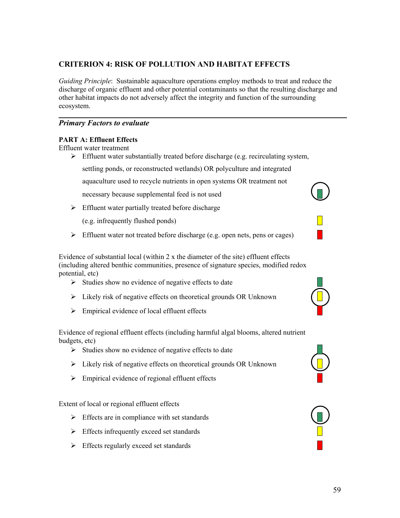# **CRITERION 4: RISK OF POLLUTION AND HABITAT EFFECTS**

*Guiding Principle*: Sustainable aquaculture operations employ methods to treat and reduce the discharge of organic effluent and other potential contaminants so that the resulting discharge and other habitat impacts do not adversely affect the integrity and function of the surrounding ecosystem.

#### *Primary Factors to evaluate*

#### **PART A: Effluent Effects**

Effluent water treatment

 $\triangleright$  Effluent water substantially treated before discharge (e.g. recirculating system,

settling ponds, or reconstructed wetlands) OR polyculture and integrated

aquaculture used to recycle nutrients in open systems OR treatment not

necessary because supplemental feed is not used

 $\triangleright$  Effluent water partially treated before discharge

(e.g. infrequently flushed ponds)

 $\triangleright$  Effluent water not treated before discharge (e.g. open nets, pens or cages)

Evidence of substantial local (within 2 x the diameter of the site) effluent effects (including altered benthic communities, presence of signature species, modified redox potential, etc)

- $\triangleright$  Studies show no evidence of negative effects to date
- $\triangleright$  Likely risk of negative effects on theoretical grounds OR Unknown
- $\triangleright$  Empirical evidence of local effluent effects

Evidence of regional effluent effects (including harmful algal blooms, altered nutrient budgets, etc)

- $\triangleright$  Studies show no evidence of negative effects to date
- $\triangleright$  Likely risk of negative effects on theoretical grounds OR Unknown
- $\triangleright$  Empirical evidence of regional effluent effects

Extent of local or regional effluent effects

- $\triangleright$  Effects are in compliance with set standards
- $\triangleright$  Effects infrequently exceed set standards
- $\triangleright$  Effects regularly exceed set standards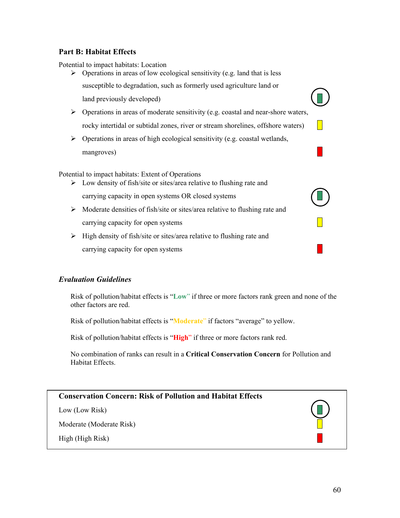### **Part B: Habitat Effects**

Potential to impact habitats: Location

- $\triangleright$  Operations in areas of low ecological sensitivity (e.g. land that is less susceptible to degradation, such as formerly used agriculture land or  $\Box$  land previously developed)
- $\triangleright$  Operations in areas of moderate sensitivity (e.g. coastal and near-shore waters, rocky intertidal or subtidal zones, river or stream shorelines, offshore waters)
- $\triangleright$  Operations in areas of high ecological sensitivity (e.g. coastal wetlands, mangroves)

Potential to impact habitats: Extent of Operations

- $\triangleright$  Low density of fish/site or sites/area relative to flushing rate and carrying capacity in open systems OR closed systems
- $\triangleright$  Moderate densities of fish/site or sites/area relative to flushing rate and carrying capacity for open systems
- $\triangleright$  High density of fish/site or sites/area relative to flushing rate and carrying capacity for open systems

# *Evaluation Guidelines*

Risk of pollution/habitat effects is "**Low**" if three or more factors rank green and none of the other factors are red.

Risk of pollution/habitat effects is "**Moderate**" if factors "average" to yellow.

Risk of pollution/habitat effects is "**High**" if three or more factors rank red.

No combination of ranks can result in a **Critical Conservation Concern** for Pollution and Habitat Effects.

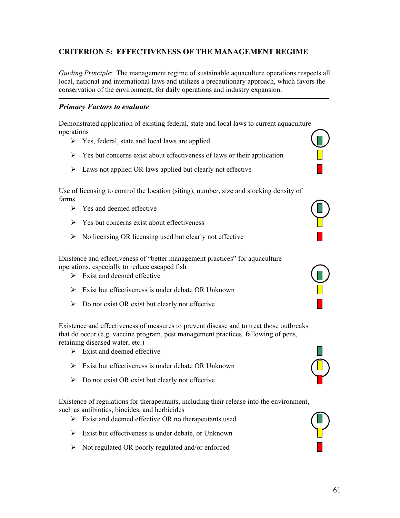# **CRITERION 5: EFFECTIVENESS OF THE MANAGEMENT REGIME**

*Guiding Principle*: The management regime of sustainable aquaculture operations respects all local, national and international laws and utilizes a precautionary approach, which favors the conservation of the environment, for daily operations and industry expansion.

#### *Primary Factors to evaluate*

Demonstrated application of existing federal, state and local laws to current aquaculture operations

- $\triangleright$  Yes, federal, state and local laws are applied
- $\triangleright$  Yes but concerns exist about effectiveness of laws or their application
- $\triangleright$  Laws not applied OR laws applied but clearly not effective

Use of licensing to control the location (siting), number, size and stocking density of farms

- $\triangleright$  Yes and deemed effective
- $\triangleright$  Yes but concerns exist about effectiveness
- $\triangleright$  No licensing OR licensing used but clearly not effective

Existence and effectiveness of "better management practices" for aquaculture operations, especially to reduce escaped fish

- $\triangleright$  Exist and deemed effective
- $\triangleright$  Exist but effectiveness is under debate OR Unknown
- $\triangleright$  Do not exist OR exist but clearly not effective

Existence and effectiveness of measures to prevent disease and to treat those outbreaks that do occur (e.g. vaccine program, pest management practices, fallowing of pens, retaining diseased water, etc.)

- $\triangleright$  Exist and deemed effective
- $\triangleright$  Exist but effectiveness is under debate OR Unknown
- $\triangleright$  Do not exist OR exist but clearly not effective

Existence of regulations for therapeutants, including their release into the environment, such as antibiotics, biocides, and herbicides

- $\triangleright$  Exist and deemed effective OR no therapeutants used
- $\triangleright$  Exist but effectiveness is under debate, or Unknown
- $\triangleright$  Not regulated OR poorly regulated and/or enforced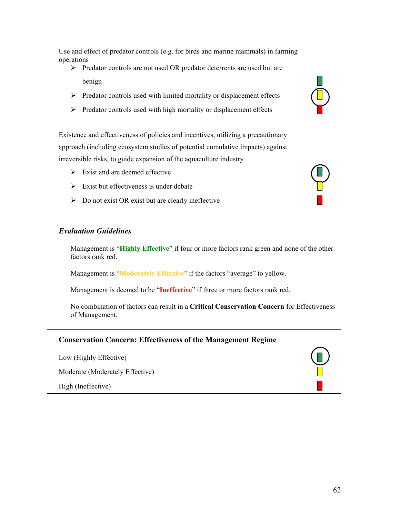Use and effect of predator controls (e.g. for birds and marine mammals) in farming operations

- > Predator controls are not used OR predator deterrents are used but are benign and the set of the set of the set of the set of the set of the set of the set of the set of the set of the set of the set of the set of the set of the set of the set of the set of the set of the set of the set of th
- $\triangleright$  Predator controls used with limited mortality or displacement effects
- $\triangleright$  Predator controls used with high mortality or displacement effects

Existence and effectiveness of policies and incentives, utilizing a precautionary approach (including ecosystem studies of potential cumulative impacts) against irreversible risks, to guide expansion of the aquaculture industry

- $\triangleright$  Exist and are deemed effective
- $\triangleright$  Exist but effectiveness is under debate
- $\triangleright$  Do not exist OR exist but are clearly ineffective

#### *Evaluation Guidelines*

Management is "**Highly Effective**" if four or more factors rank green and none of the other factors rank red.

Management is "**Moderately Effective**" if the factors "average" to yellow.

Management is deemed to be "**Ineffective**" if three or more factors rank red.

No combination of factors can result in a **Critical Conservation Concern** for Effectiveness of Management.

# **Conservation Concern: Effectiveness of the Management Regime**

Low (Highly Effective)

Moderate (Moderately Effective)

High (Ineffective)

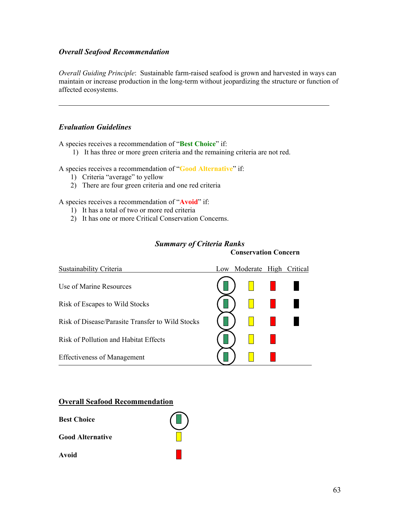### *Overall Seafood Recommendation*

*Overall Guiding Principle*: Sustainable farm-raised seafood is grown and harvested in ways can maintain or increase production in the long-term without jeopardizing the structure or function of affected ecosystems.

#### *Evaluation Guidelines*

A species receives a recommendation of "**Best Choice**" if:

1) It has three or more green criteria and the remaining criteria are not red.

A species receives a recommendation of "**Good Alternative**" if:

- 1) Criteria "average" to yellow
- 2) There are four green criteria and one red criteria

A species receives a recommendation of "**Avoid**" if:

- 1) It has a total of two or more red criteria
- 2) It has one or more Critical Conservation Concerns.

| Sustainability Criteria                          | Low | Moderate High | Critical |
|--------------------------------------------------|-----|---------------|----------|
| Use of Marine Resources                          |     |               |          |
| Risk of Escapes to Wild Stocks                   |     |               |          |
| Risk of Disease/Parasite Transfer to Wild Stocks |     |               |          |
| Risk of Pollution and Habitat Effects            |     |               |          |
| <b>Effectiveness of Management</b>               |     |               |          |

#### *Summary of Criteria Ranks*

**Conservation Concern** 

#### **Overall Seafood Recommendation**

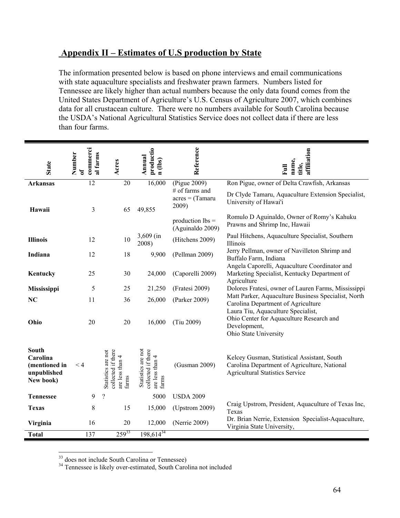# **Appendix II – Estimates of U.S production by State**

The information presented below is based on phone interviews and email communications with state aquaculture specialists and freshwater prawn farmers. Numbers listed for Tennessee are likely higher than actual numbers because the only data found comes from the United States Department of Agriculture's U.S. Census of Agriculture 2007, which combines data for all crustacean culture. There were no numbers available for South Carolina because the USDA's National Agricultural Statistics Service does not collect data if there are less than four farms.

| <b>State</b>                                                   | commerci<br>Number<br>al farms<br>ัธ | Acres                                                                | productio<br>Annual<br>n (lbs)                                       | Reference                                     | affiliation<br>name,<br>title,<br>$\overline{E}$                                                                                      |
|----------------------------------------------------------------|--------------------------------------|----------------------------------------------------------------------|----------------------------------------------------------------------|-----------------------------------------------|---------------------------------------------------------------------------------------------------------------------------------------|
| <b>Arkansas</b>                                                | $\overline{12}$                      | 20                                                                   | 16,000                                                               | (Pigue 2009)                                  | Ron Pigue, owner of Delta Crawfish, Arkansas                                                                                          |
| Hawaii                                                         | 3                                    | 65                                                                   | 49,855                                                               | # of farms and<br>$acres = (Tamaru)$<br>2009) | Dr Clyde Tamaru, Aquaculture Extension Specialist,<br>University of Hawai'i                                                           |
|                                                                |                                      |                                                                      |                                                                      | production $\text{lbs} =$<br>(Aguinaldo 2009) | Romulo D Aguinaldo, Owner of Romy's Kahuku<br>Prawns and Shrimp Inc, Hawaii                                                           |
| <b>Illinois</b>                                                | 12                                   | 10                                                                   | $3,609$ (in<br>2008)                                                 | (Hitchens 2009)                               | Paul Hitchens, Aquaculture Specialist, Southern<br>Illinois                                                                           |
| Indiana                                                        | 12                                   | 18                                                                   | 9,900                                                                | (Pellman 2009)                                | Jerry Pellman, owner of Navilleton Shrimp and<br>Buffalo Farm, Indiana<br>Angela Caporelli, Aquaculture Coordinator and               |
| Kentucky                                                       | 25                                   | 30                                                                   | 24,000                                                               | (Caporelli 2009)                              | Marketing Specialist, Kentucky Department of<br>Agriculture                                                                           |
| Mississippi                                                    | 5                                    | 25                                                                   | 21,250                                                               | (Fratesi 2009)                                | Dolores Fratesi, owner of Lauren Farms, Mississippi                                                                                   |
| NC                                                             | 11                                   | 36                                                                   | 26,000                                                               | (Parker 2009)                                 | Matt Parker, Aquaculture Business Specialist, North<br>Carolina Department of Agriculture                                             |
| Ohio                                                           | 20                                   | 20                                                                   | 16,000                                                               | (Tiu 2009)                                    | Laura Tiu, Aquaculture Specialist,<br>Ohio Center for Aquaculture Research and<br>Development,<br>Ohio State University               |
| South<br>Carolina<br>(mentioned in<br>unpublished<br>New book) | < 4                                  | collected if there<br>Statistics are not<br>are less than 4<br>farms | Statistics are not<br>collected if there<br>are less than 4<br>farms | (Gusman 2009)                                 | Kelcey Gusman, Statistical Assistant, South<br>Carolina Department of Agriculture, National<br><b>Agricultural Statistics Service</b> |
| <b>Tennessee</b>                                               | 9                                    | $\overline{\mathcal{L}}$                                             | 5000                                                                 | <b>USDA 2009</b>                              |                                                                                                                                       |
| <b>Texas</b>                                                   | 8                                    | 15                                                                   | 15,000                                                               | $(U$ pstrom 2009)                             | Craig Upstrom, President, Aquaculture of Texas Inc,<br>Texas                                                                          |
| Virginia                                                       | 16                                   | 20                                                                   | 12,000                                                               | (Nerrie 2009)                                 | Dr. Brian Nerrie, Extension Specialist-Aquaculture,<br>Virginia State University,                                                     |
| <b>Total</b>                                                   | 137                                  | $259^{33}$                                                           | $198,614^{34}$                                                       |                                               |                                                                                                                                       |

 $\overline{a}$ 

 $33$  does not include South Carolina or Tennessee)<br> $34$  Tennessee is likely over-estimated, South Carolina not included